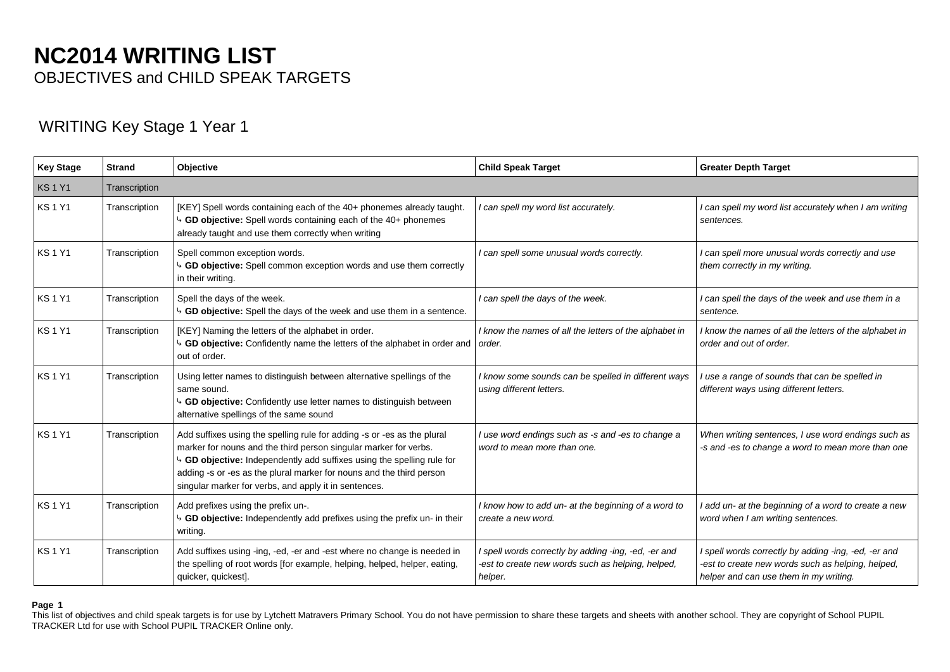# **NC2014 WRITING LIST** OBJECTIVES and CHILD SPEAK TARGETS

## WRITING Key Stage 1 Year 1

| <b>Key Stage</b> | <b>Strand</b> | Objective                                                                                                                                                                                                                                                                                                                                            | <b>Child Speak Target</b>                                                                                            | <b>Greater Depth Target</b>                                                                                                                         |
|------------------|---------------|------------------------------------------------------------------------------------------------------------------------------------------------------------------------------------------------------------------------------------------------------------------------------------------------------------------------------------------------------|----------------------------------------------------------------------------------------------------------------------|-----------------------------------------------------------------------------------------------------------------------------------------------------|
| <b>KS1Y1</b>     | Transcription |                                                                                                                                                                                                                                                                                                                                                      |                                                                                                                      |                                                                                                                                                     |
| <b>KS1Y1</b>     | Transcription | [KEY] Spell words containing each of the 40+ phonemes already taught.<br>GD objective: Spell words containing each of the 40+ phonemes<br>already taught and use them correctly when writing                                                                                                                                                         | I can spell my word list accurately.                                                                                 | I can spell my word list accurately when I am writing<br>sentences.                                                                                 |
| <b>KS1Y1</b>     | Transcription | Spell common exception words.<br>GD objective: Spell common exception words and use them correctly<br>in their writing.                                                                                                                                                                                                                              | I can spell some unusual words correctly.                                                                            | I can spell more unusual words correctly and use<br>them correctly in my writing.                                                                   |
| <b>KS1Y1</b>     | Transcription | Spell the days of the week.<br><sup>4</sup> GD objective: Spell the days of the week and use them in a sentence.                                                                                                                                                                                                                                     | I can spell the days of the week.                                                                                    | I can spell the days of the week and use them in a<br>sentence.                                                                                     |
| <b>KS1Y1</b>     | Transcription | [KEY] Naming the letters of the alphabet in order.<br>GD objective: Confidently name the letters of the alphabet in order and<br>out of order.                                                                                                                                                                                                       | I know the names of all the letters of the alphabet in<br>order.                                                     | I know the names of all the letters of the alphabet in<br>order and out of order.                                                                   |
| <b>KS1Y1</b>     | Transcription | Using letter names to distinguish between alternative spellings of the<br>same sound.<br>GD objective: Confidently use letter names to distinguish between<br>alternative spellings of the same sound                                                                                                                                                | I know some sounds can be spelled in different ways<br>using different letters.                                      | use a range of sounds that can be spelled in<br>different ways using different letters.                                                             |
| <b>KS1Y1</b>     | Transcription | Add suffixes using the spelling rule for adding -s or -es as the plural<br>marker for nouns and the third person singular marker for verbs.<br>GD objective: Independently add suffixes using the spelling rule for<br>adding -s or -es as the plural marker for nouns and the third person<br>singular marker for verbs, and apply it in sentences. | I use word endings such as -s and -es to change a<br>word to mean more than one.                                     | When writing sentences, I use word endings such as<br>-s and -es to change a word to mean more than one                                             |
| <b>KS1Y1</b>     | Transcription | Add prefixes using the prefix un-.<br>GD objective: Independently add prefixes using the prefix un- in their<br>writing.                                                                                                                                                                                                                             | I know how to add un- at the beginning of a word to<br>create a new word.                                            | add un- at the beginning of a word to create a new<br>word when I am writing sentences.                                                             |
| <b>KS1Y1</b>     | Transcription | Add suffixes using -ing, -ed, -er and -est where no change is needed in<br>the spelling of root words [for example, helping, helped, helper, eating,<br>quicker, quickest].                                                                                                                                                                          | I spell words correctly by adding -ing, -ed, -er and<br>-est to create new words such as helping, helped,<br>helper. | I spell words correctly by adding -ing, -ed, -er and<br>-est to create new words such as helping, helped,<br>helper and can use them in my writing. |

## **Page 1**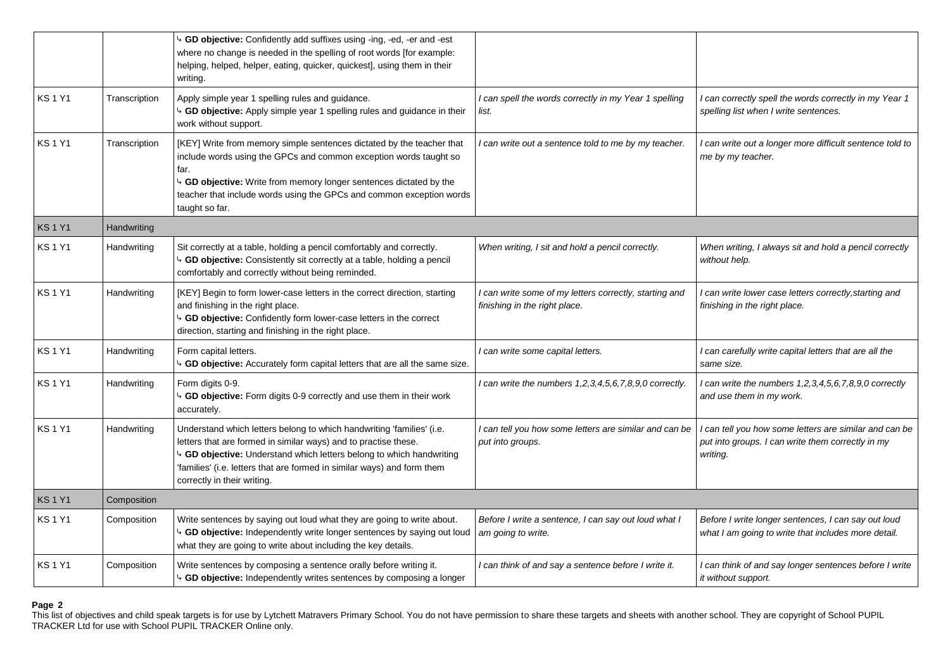|              |                    | 4 GD objective: Confidently add suffixes using -ing, -ed, -er and -est<br>where no change is needed in the spelling of root words [for example:<br>helping, helped, helper, eating, quicker, quickest], using them in their<br>writing.                                                                                    |                                                                                         |                                                                                                                       |
|--------------|--------------------|----------------------------------------------------------------------------------------------------------------------------------------------------------------------------------------------------------------------------------------------------------------------------------------------------------------------------|-----------------------------------------------------------------------------------------|-----------------------------------------------------------------------------------------------------------------------|
| <b>KS1Y1</b> | Transcription      | Apply simple year 1 spelling rules and guidance.<br>4 GD objective: Apply simple year 1 spelling rules and guidance in their<br>work without support.                                                                                                                                                                      | I can spell the words correctly in my Year 1 spelling<br>list.                          | can correctly spell the words correctly in my Year 1<br>spelling list when I write sentences.                         |
| <b>KS1Y1</b> | Transcription      | [KEY] Write from memory simple sentences dictated by the teacher that<br>include words using the GPCs and common exception words taught so<br>far.<br>4 GD objective: Write from memory longer sentences dictated by the<br>teacher that include words using the GPCs and common exception words<br>taught so far.         | I can write out a sentence told to me by my teacher.                                    | can write out a longer more difficult sentence told to<br>me by my teacher.                                           |
| <b>KS1Y1</b> | <b>Handwriting</b> |                                                                                                                                                                                                                                                                                                                            |                                                                                         |                                                                                                                       |
| <b>KS1Y1</b> | Handwriting        | Sit correctly at a table, holding a pencil comfortably and correctly.<br>4 GD objective: Consistently sit correctly at a table, holding a pencil<br>comfortably and correctly without being reminded.                                                                                                                      | When writing, I sit and hold a pencil correctly.                                        | When writing, I always sit and hold a pencil correctly<br>without help.                                               |
| <b>KS1Y1</b> | Handwriting        | [KEY] Begin to form lower-case letters in the correct direction, starting<br>and finishing in the right place.<br>4 GD objective: Confidently form lower-case letters in the correct<br>direction, starting and finishing in the right place.                                                                              | I can write some of my letters correctly, starting and<br>finishing in the right place. | can write lower case letters correctly, starting and<br>finishing in the right place.                                 |
| <b>KS1Y1</b> | Handwriting        | Form capital letters.<br>4 GD objective: Accurately form capital letters that are all the same size.                                                                                                                                                                                                                       | I can write some capital letters.                                                       | I can carefully write capital letters that are all the<br>same size.                                                  |
| <b>KS1Y1</b> | Handwriting        | Form digits 0-9.<br>4 GD objective: Form digits 0-9 correctly and use them in their work<br>accurately.                                                                                                                                                                                                                    | I can write the numbers 1,2,3,4,5,6,7,8,9,0 correctly.                                  | can write the numbers 1,2,3,4,5,6,7,8,9,0 correctly<br>and use them in my work.                                       |
| <b>KS1Y1</b> | Handwriting        | Understand which letters belong to which handwriting 'families' (i.e.<br>letters that are formed in similar ways) and to practise these.<br>4 GD objective: Understand which letters belong to which handwriting<br>'families' (i.e. letters that are formed in similar ways) and form them<br>correctly in their writing. | I can tell you how some letters are similar and can be<br>put into groups.              | can tell you how some letters are similar and can be<br>put into groups. I can write them correctly in my<br>writing. |
| <b>KS1Y1</b> | Composition        |                                                                                                                                                                                                                                                                                                                            |                                                                                         |                                                                                                                       |
| <b>KS1Y1</b> | Composition        | Write sentences by saying out loud what they are going to write about.<br>4 GD objective: Independently write longer sentences by saying out loud<br>what they are going to write about including the key details.                                                                                                         | Before I write a sentence, I can say out loud what I<br>am going to write.              | Before I write longer sentences, I can say out loud<br>what I am going to write that includes more detail.            |
| <b>KS1Y1</b> | Composition        | Write sentences by composing a sentence orally before writing it.<br>4 GD objective: Independently writes sentences by composing a longer                                                                                                                                                                                  | I can think of and say a sentence before I write it.                                    | can think of and say longer sentences before I write<br>it without support.                                           |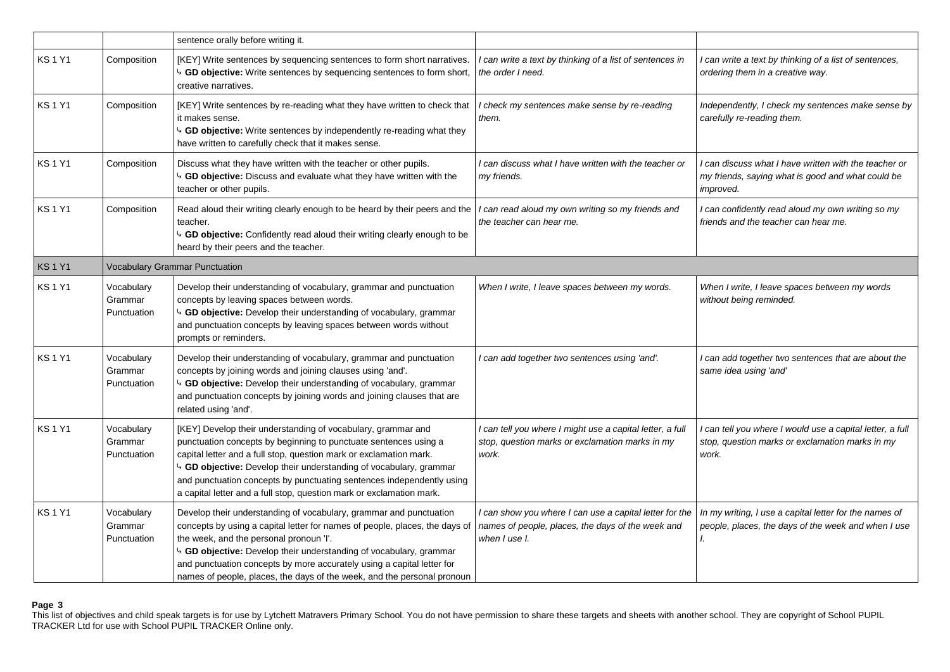|              |                                       | sentence orally before writing it.                                                                                                                                                                                                                                                                                                                                                                                            |                                                                                                                               |                                                                                                                         |  |
|--------------|---------------------------------------|-------------------------------------------------------------------------------------------------------------------------------------------------------------------------------------------------------------------------------------------------------------------------------------------------------------------------------------------------------------------------------------------------------------------------------|-------------------------------------------------------------------------------------------------------------------------------|-------------------------------------------------------------------------------------------------------------------------|--|
| <b>KS1Y1</b> | Composition                           | [KEY] Write sentences by sequencing sentences to form short narratives.<br>4 GD objective: Write sentences by sequencing sentences to form short,<br>creative narratives.                                                                                                                                                                                                                                                     | I can write a text by thinking of a list of sentences in<br>the order I need.                                                 | I can write a text by thinking of a list of sentences,<br>ordering them in a creative way.                              |  |
| <b>KS1Y1</b> | Composition                           | [KEY] Write sentences by re-reading what they have written to check that<br>it makes sense.<br>b GD objective: Write sentences by independently re-reading what they<br>have written to carefully check that it makes sense.                                                                                                                                                                                                  | I check my sentences make sense by re-reading<br>them.                                                                        | Independently, I check my sentences make sense by<br>carefully re-reading them.                                         |  |
| <b>KS1Y1</b> | Composition                           | Discuss what they have written with the teacher or other pupils.<br>4 GD objective: Discuss and evaluate what they have written with the<br>teacher or other pupils.                                                                                                                                                                                                                                                          | I can discuss what I have written with the teacher or<br>my friends.                                                          | I can discuss what I have written with the teacher or<br>my friends, saying what is good and what could be<br>improved. |  |
| <b>KS1Y1</b> | Composition                           | Read aloud their writing clearly enough to be heard by their peers and the<br>teacher.<br>4 GD objective: Confidently read aloud their writing clearly enough to be<br>heard by their peers and the teacher.                                                                                                                                                                                                                  | I can read aloud my own writing so my friends and<br>the teacher can hear me.                                                 | I can confidently read aloud my own writing so my<br>friends and the teacher can hear me.                               |  |
| <b>KS1Y1</b> | <b>Vocabulary Grammar Punctuation</b> |                                                                                                                                                                                                                                                                                                                                                                                                                               |                                                                                                                               |                                                                                                                         |  |
| <b>KS1Y1</b> | Vocabulary<br>Grammar<br>Punctuation  | Develop their understanding of vocabulary, grammar and punctuation<br>concepts by leaving spaces between words.<br>b GD objective: Develop their understanding of vocabulary, grammar<br>and punctuation concepts by leaving spaces between words without<br>prompts or reminders.                                                                                                                                            | When I write, I leave spaces between my words.                                                                                | When I write, I leave spaces between my words<br>without being reminded.                                                |  |
| <b>KS1Y1</b> | Vocabulary<br>Grammar<br>Punctuation  | Develop their understanding of vocabulary, grammar and punctuation<br>concepts by joining words and joining clauses using 'and'.<br><sup>4</sup> GD objective: Develop their understanding of vocabulary, grammar<br>and punctuation concepts by joining words and joining clauses that are<br>related using 'and'.                                                                                                           | I can add together two sentences using 'and'.                                                                                 | I can add together two sentences that are about the<br>same idea using 'and'                                            |  |
| <b>KS1Y1</b> | Vocabulary<br>Grammar<br>Punctuation  | [KEY] Develop their understanding of vocabulary, grammar and<br>punctuation concepts by beginning to punctuate sentences using a<br>capital letter and a full stop, question mark or exclamation mark.<br>4 GD objective: Develop their understanding of vocabulary, grammar<br>and punctuation concepts by punctuating sentences independently using<br>a capital letter and a full stop, question mark or exclamation mark. | I can tell you where I might use a capital letter, a full<br>stop, question marks or exclamation marks in my<br>work.         | I can tell you where I would use a capital letter, a full<br>stop, question marks or exclamation marks in my<br>work.   |  |
| <b>KS1Y1</b> | Vocabulary<br>Grammar<br>Punctuation  | Develop their understanding of vocabulary, grammar and punctuation<br>concepts by using a capital letter for names of people, places, the days of<br>the week, and the personal pronoun 'I'.<br>4 GD objective: Develop their understanding of vocabulary, grammar<br>and punctuation concepts by more accurately using a capital letter for<br>names of people, places, the days of the week, and the personal pronoun       | I can show you where I can use a capital letter for the<br>names of people, places, the days of the week and<br>when I use I. | In my writing, I use a capital letter for the names of<br>people, places, the days of the week and when I use<br>I.     |  |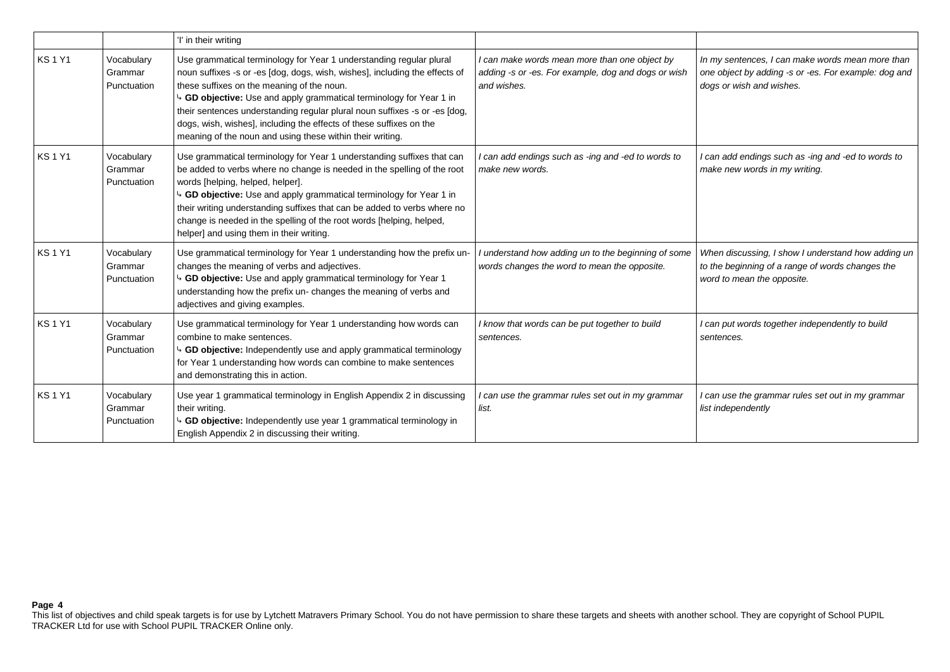|              |                                      | 'I' in their writing                                                                                                                                                                                                                                                                                                                                                                                                                                                                      |                                                                                                                     |                                                                                                                                      |
|--------------|--------------------------------------|-------------------------------------------------------------------------------------------------------------------------------------------------------------------------------------------------------------------------------------------------------------------------------------------------------------------------------------------------------------------------------------------------------------------------------------------------------------------------------------------|---------------------------------------------------------------------------------------------------------------------|--------------------------------------------------------------------------------------------------------------------------------------|
| <b>KS1Y1</b> | Vocabulary<br>Grammar<br>Punctuation | Use grammatical terminology for Year 1 understanding regular plural<br>noun suffixes -s or -es [dog, dogs, wish, wishes], including the effects of<br>these suffixes on the meaning of the noun.<br>4 GD objective: Use and apply grammatical terminology for Year 1 in<br>their sentences understanding regular plural noun suffixes -s or -es [dog,<br>dogs, wish, wishes], including the effects of these suffixes on the<br>meaning of the noun and using these within their writing. | I can make words mean more than one object by<br>adding -s or -es. For example, dog and dogs or wish<br>and wishes. | In my sentences, I can make words mean more than<br>one object by adding -s or -es. For example: dog and<br>dogs or wish and wishes. |
| <b>KS1Y1</b> | Vocabulary<br>Grammar<br>Punctuation | Use grammatical terminology for Year 1 understanding suffixes that can<br>be added to verbs where no change is needed in the spelling of the root<br>words [helping, helped, helper].<br>4 GD objective: Use and apply grammatical terminology for Year 1 in<br>their writing understanding suffixes that can be added to verbs where no<br>change is needed in the spelling of the root words [helping, helped,<br>helper] and using them in their writing.                              | I can add endings such as -ing and -ed to words to<br>make new words.                                               | I can add endings such as -ing and -ed to words to<br>make new words in my writing.                                                  |
| <b>KS1Y1</b> | Vocabulary<br>Grammar<br>Punctuation | Use grammatical terminology for Year 1 understanding how the prefix un-<br>changes the meaning of verbs and adjectives.<br>4 GD objective: Use and apply grammatical terminology for Year 1<br>understanding how the prefix un- changes the meaning of verbs and<br>adjectives and giving examples.                                                                                                                                                                                       | I understand how adding un to the beginning of some<br>words changes the word to mean the opposite.                 | When discussing, I show I understand how adding un<br>to the beginning of a range of words changes the<br>word to mean the opposite. |
| <b>KS1Y1</b> | Vocabulary<br>Grammar<br>Punctuation | Use grammatical terminology for Year 1 understanding how words can<br>combine to make sentences.<br>b GD objective: Independently use and apply grammatical terminology<br>for Year 1 understanding how words can combine to make sentences<br>and demonstrating this in action.                                                                                                                                                                                                          | I know that words can be put together to build<br>sentences.                                                        | I can put words together independently to build<br>sentences.                                                                        |
| <b>KS1Y1</b> | Vocabulary<br>Grammar<br>Punctuation | Use year 1 grammatical terminology in English Appendix 2 in discussing<br>their writing.<br>4 GD objective: Independently use year 1 grammatical terminology in<br>English Appendix 2 in discussing their writing.                                                                                                                                                                                                                                                                        | I can use the grammar rules set out in my grammar<br>list.                                                          | I can use the grammar rules set out in my grammar<br>list independently                                                              |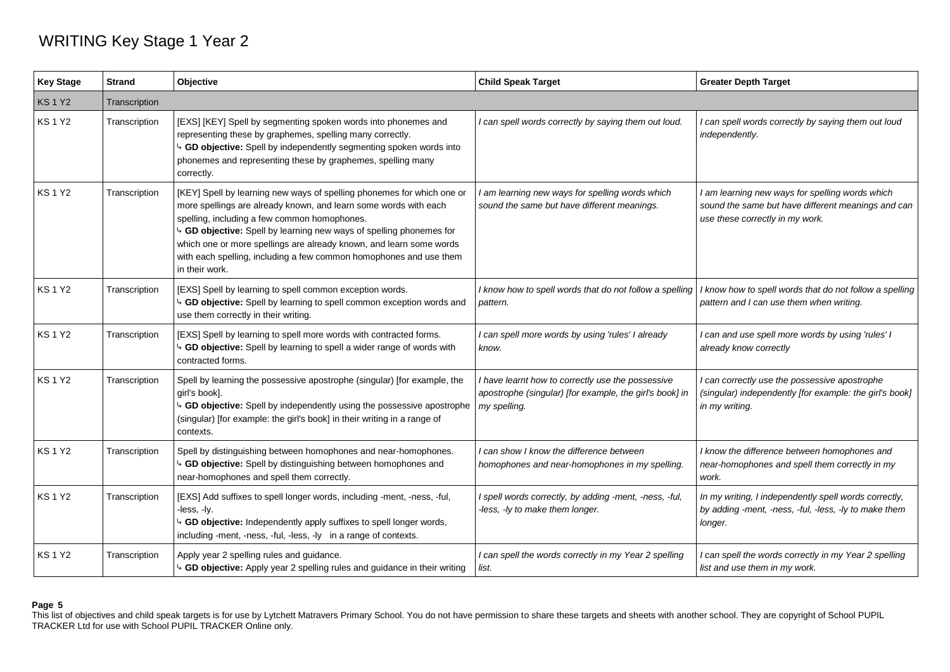## WRITING Key Stage 1 Year 2

| <b>Key Stage</b> | <b>Strand</b> | Objective                                                                                                                                                                                                                                                                                                                                                                                                                        | <b>Child Speak Target</b>                                                                                                    | <b>Greater Depth Target</b>                                                                                                              |
|------------------|---------------|----------------------------------------------------------------------------------------------------------------------------------------------------------------------------------------------------------------------------------------------------------------------------------------------------------------------------------------------------------------------------------------------------------------------------------|------------------------------------------------------------------------------------------------------------------------------|------------------------------------------------------------------------------------------------------------------------------------------|
| <b>KS1Y2</b>     | Transcription |                                                                                                                                                                                                                                                                                                                                                                                                                                  |                                                                                                                              |                                                                                                                                          |
| <b>KS1Y2</b>     | Transcription | [EXS] [KEY] Spell by segmenting spoken words into phonemes and<br>representing these by graphemes, spelling many correctly.<br>4 GD objective: Spell by independently segmenting spoken words into<br>phonemes and representing these by graphemes, spelling many<br>correctly.                                                                                                                                                  | I can spell words correctly by saying them out loud.                                                                         | I can spell words correctly by saying them out loud<br>independently.                                                                    |
| <b>KS1Y2</b>     | Transcription | [KEY] Spell by learning new ways of spelling phonemes for which one or<br>more spellings are already known, and learn some words with each<br>spelling, including a few common homophones.<br>4 GD objective: Spell by learning new ways of spelling phonemes for<br>which one or more spellings are already known, and learn some words<br>with each spelling, including a few common homophones and use them<br>in their work. | I am learning new ways for spelling words which<br>sound the same but have different meanings.                               | I am learning new ways for spelling words which<br>sound the same but have different meanings and can<br>use these correctly in my work. |
| KS 1 Y2          | Transcription | [EXS] Spell by learning to spell common exception words.<br>4 GD objective: Spell by learning to spell common exception words and<br>use them correctly in their writing.                                                                                                                                                                                                                                                        | I know how to spell words that do not follow a spelling<br>pattern.                                                          | know how to spell words that do not follow a spelling<br>pattern and I can use them when writing.                                        |
| KS 1 Y2          | Transcription | [EXS] Spell by learning to spell more words with contracted forms.<br>4 GD objective: Spell by learning to spell a wider range of words with<br>contracted forms.                                                                                                                                                                                                                                                                | I can spell more words by using 'rules' I already<br>know.                                                                   | I can and use spell more words by using 'rules' I<br>already know correctly                                                              |
| <b>KS1Y2</b>     | Transcription | Spell by learning the possessive apostrophe (singular) [for example, the<br>girl's book].<br>4 GD objective: Spell by independently using the possessive apostrophe<br>(singular) [for example: the girl's book] in their writing in a range of<br>contexts.                                                                                                                                                                     | I have learnt how to correctly use the possessive<br>apostrophe (singular) [for example, the girl's book] in<br>my spelling. | I can correctly use the possessive apostrophe<br>(singular) independently [for example: the girl's book]<br>in my writing.               |
| <b>KS1Y2</b>     | Transcription | Spell by distinguishing between homophones and near-homophones.<br>4 GD objective: Spell by distinguishing between homophones and<br>near-homophones and spell them correctly.                                                                                                                                                                                                                                                   | I can show I know the difference between<br>homophones and near-homophones in my spelling.                                   | I know the difference between homophones and<br>near-homophones and spell them correctly in my<br>work.                                  |
| <b>KS1Y2</b>     | Transcription | [EXS] Add suffixes to spell longer words, including -ment, -ness, -ful,<br>-less, -ly.<br>GD objective: Independently apply suffixes to spell longer words,<br>including -ment, -ness, -ful, -less, -ly in a range of contexts.                                                                                                                                                                                                  | I spell words correctly, by adding -ment, -ness, -ful,<br>-less, -ly to make them longer.                                    | In my writing, I independently spell words correctly,<br>by adding -ment, -ness, -ful, -less, -ly to make them<br>longer.                |
| <b>KS1Y2</b>     | Transcription | Apply year 2 spelling rules and guidance.<br>GD objective: Apply year 2 spelling rules and guidance in their writing                                                                                                                                                                                                                                                                                                             | I can spell the words correctly in my Year 2 spelling<br>list.                                                               | I can spell the words correctly in my Year 2 spelling<br>list and use them in my work.                                                   |

## **Page 5**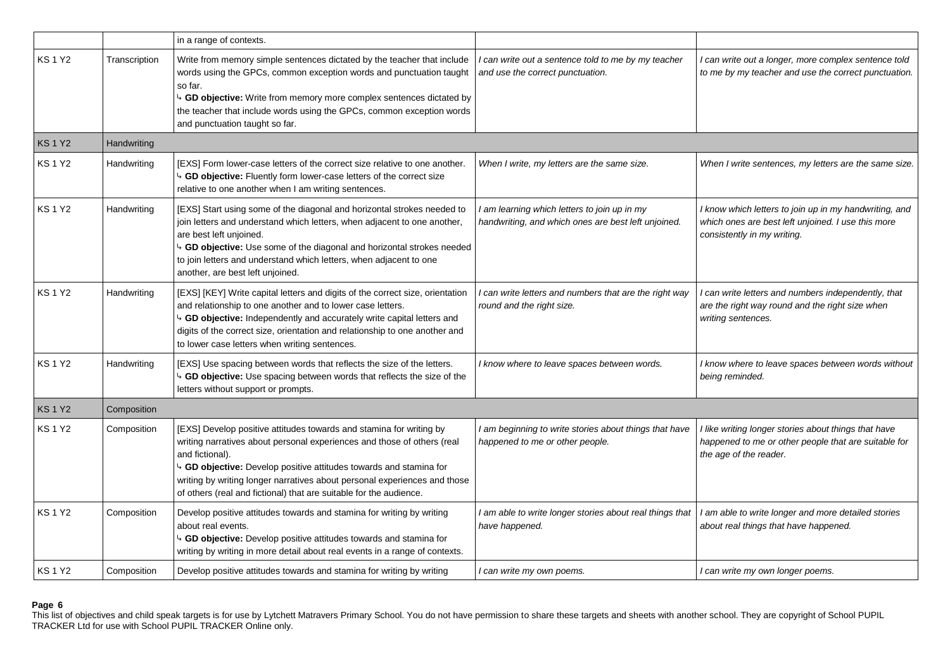|              |               | in a range of contexts.                                                                                                                                                                                                                                                                                                                                                                    |                                                                                                     |                                                                                                                                             |
|--------------|---------------|--------------------------------------------------------------------------------------------------------------------------------------------------------------------------------------------------------------------------------------------------------------------------------------------------------------------------------------------------------------------------------------------|-----------------------------------------------------------------------------------------------------|---------------------------------------------------------------------------------------------------------------------------------------------|
| <b>KS1Y2</b> | Transcription | Write from memory simple sentences dictated by the teacher that include<br>words using the GPCs, common exception words and punctuation taught<br>so far.<br>4 GD objective: Write from memory more complex sentences dictated by<br>the teacher that include words using the GPCs, common exception words<br>and punctuation taught so far.                                               | I can write out a sentence told to me by my teacher<br>and use the correct punctuation.             | I can write out a longer, more complex sentence told<br>to me by my teacher and use the correct punctuation.                                |
| <b>KS1Y2</b> | Handwriting   |                                                                                                                                                                                                                                                                                                                                                                                            |                                                                                                     |                                                                                                                                             |
| <b>KS1Y2</b> | Handwriting   | [EXS] Form lower-case letters of the correct size relative to one another.<br>4 GD objective: Fluently form lower-case letters of the correct size<br>relative to one another when I am writing sentences.                                                                                                                                                                                 | When I write, my letters are the same size.                                                         | When I write sentences, my letters are the same size.                                                                                       |
| <b>KS1Y2</b> | Handwriting   | [EXS] Start using some of the diagonal and horizontal strokes needed to<br>join letters and understand which letters, when adjacent to one another,<br>are best left unjoined.<br>4 GD objective: Use some of the diagonal and horizontal strokes needed<br>to join letters and understand which letters, when adjacent to one<br>another, are best left unjoined.                         | I am learning which letters to join up in my<br>handwriting, and which ones are best left unjoined. | I know which letters to join up in my handwriting, and<br>which ones are best left unjoined. I use this more<br>consistently in my writing. |
| <b>KS1Y2</b> | Handwriting   | [EXS] [KEY] Write capital letters and digits of the correct size, orientation<br>and relationship to one another and to lower case letters.<br>b GD objective: Independently and accurately write capital letters and<br>digits of the correct size, orientation and relationship to one another and<br>to lower case letters when writing sentences.                                      | I can write letters and numbers that are the right way<br>round and the right size.                 | I can write letters and numbers independently, that<br>are the right way round and the right size when<br>writing sentences.                |
| <b>KS1Y2</b> | Handwriting   | [EXS] Use spacing between words that reflects the size of the letters.<br>4 GD objective: Use spacing between words that reflects the size of the<br>letters without support or prompts.                                                                                                                                                                                                   | I know where to leave spaces between words.                                                         | I know where to leave spaces between words without<br>being reminded.                                                                       |
| <b>KS1Y2</b> | Composition   |                                                                                                                                                                                                                                                                                                                                                                                            |                                                                                                     |                                                                                                                                             |
| <b>KS1Y2</b> | Composition   | [EXS] Develop positive attitudes towards and stamina for writing by<br>writing narratives about personal experiences and those of others (real<br>and fictional).<br>4 GD objective: Develop positive attitudes towards and stamina for<br>writing by writing longer narratives about personal experiences and those<br>of others (real and fictional) that are suitable for the audience. | I am beginning to write stories about things that have<br>happened to me or other people.           | I like writing longer stories about things that have<br>happened to me or other people that are suitable for<br>the age of the reader.      |
| <b>KS1Y2</b> | Composition   | Develop positive attitudes towards and stamina for writing by writing<br>about real events.<br>4 GD objective: Develop positive attitudes towards and stamina for<br>writing by writing in more detail about real events in a range of contexts.                                                                                                                                           | I am able to write longer stories about real things that<br>have happened.                          | I am able to write longer and more detailed stories<br>about real things that have happened.                                                |
| <b>KS1Y2</b> | Composition   | Develop positive attitudes towards and stamina for writing by writing                                                                                                                                                                                                                                                                                                                      | I can write my own poems.                                                                           | I can write my own longer poems.                                                                                                            |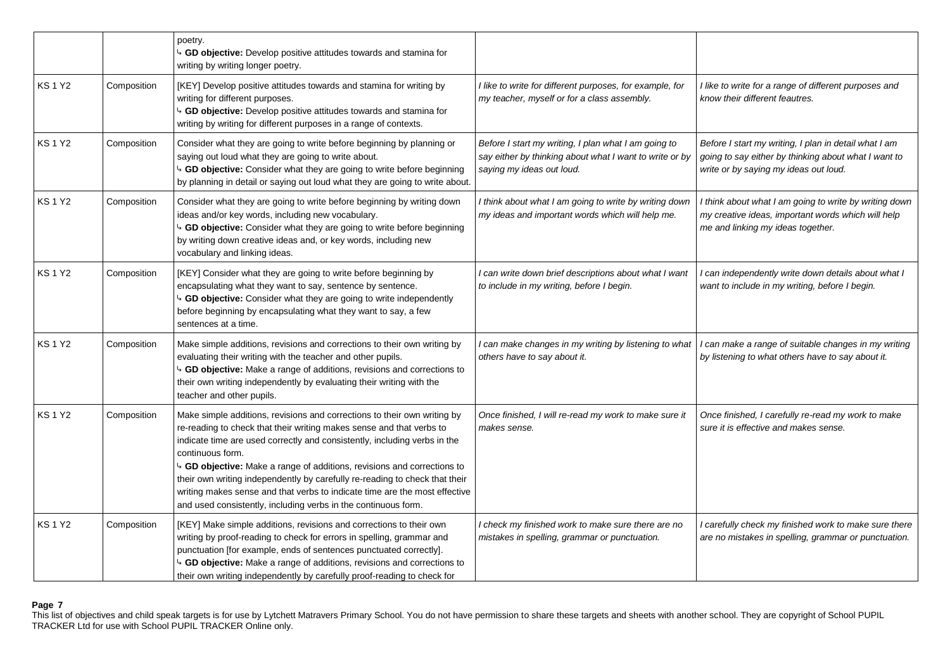|              |             | poetry.<br>GD objective: Develop positive attitudes towards and stamina for<br>writing by writing longer poetry.                                                                                                                                                                                                                                                                                                                                                                                                                                                 |                                                                                                                                              |                                                                                                                                                        |
|--------------|-------------|------------------------------------------------------------------------------------------------------------------------------------------------------------------------------------------------------------------------------------------------------------------------------------------------------------------------------------------------------------------------------------------------------------------------------------------------------------------------------------------------------------------------------------------------------------------|----------------------------------------------------------------------------------------------------------------------------------------------|--------------------------------------------------------------------------------------------------------------------------------------------------------|
| KS 1 Y2      | Composition | [KEY] Develop positive attitudes towards and stamina for writing by<br>writing for different purposes.<br>GD objective: Develop positive attitudes towards and stamina for<br>writing by writing for different purposes in a range of contexts.                                                                                                                                                                                                                                                                                                                  | I like to write for different purposes, for example, for<br>my teacher, myself or for a class assembly.                                      | I like to write for a range of different purposes and<br>know their different feautres.                                                                |
| <b>KS1Y2</b> | Composition | Consider what they are going to write before beginning by planning or<br>saying out loud what they are going to write about.<br><sup>1</sup> GD objective: Consider what they are going to write before beginning<br>by planning in detail or saying out loud what they are going to write about.                                                                                                                                                                                                                                                                | Before I start my writing, I plan what I am going to<br>say either by thinking about what I want to write or by<br>saying my ideas out loud. | Before I start my writing, I plan in detail what I am<br>going to say either by thinking about what I want to<br>write or by saying my ideas out loud. |
| KS 1 Y2      | Composition | Consider what they are going to write before beginning by writing down<br>ideas and/or key words, including new vocabulary.<br>4 GD objective: Consider what they are going to write before beginning<br>by writing down creative ideas and, or key words, including new<br>vocabulary and linking ideas.                                                                                                                                                                                                                                                        | I think about what I am going to write by writing down<br>my ideas and important words which will help me.                                   | I think about what I am going to write by writing down<br>my creative ideas, important words which will help<br>me and linking my ideas together.      |
| <b>KS1Y2</b> | Composition | [KEY] Consider what they are going to write before beginning by<br>encapsulating what they want to say, sentence by sentence.<br><sup>4</sup> GD objective: Consider what they are going to write independently<br>before beginning by encapsulating what they want to say, a few<br>sentences at a time.                                                                                                                                                                                                                                                        | I can write down brief descriptions about what I want<br>to include in my writing, before I begin.                                           | I can independently write down details about what I<br>want to include in my writing, before I begin.                                                  |
| KS 1 Y2      | Composition | Make simple additions, revisions and corrections to their own writing by<br>evaluating their writing with the teacher and other pupils.<br><sup>1</sup> GD objective: Make a range of additions, revisions and corrections to<br>their own writing independently by evaluating their writing with the<br>teacher and other pupils.                                                                                                                                                                                                                               | I can make changes in my writing by listening to what<br>others have to say about it.                                                        | can make a range of suitable changes in my writing<br>by listening to what others have to say about it.                                                |
| <b>KS1Y2</b> | Composition | Make simple additions, revisions and corrections to their own writing by<br>re-reading to check that their writing makes sense and that verbs to<br>indicate time are used correctly and consistently, including verbs in the<br>continuous form.<br>$\sim$ GD objective: Make a range of additions, revisions and corrections to<br>their own writing independently by carefully re-reading to check that their<br>writing makes sense and that verbs to indicate time are the most effective<br>and used consistently, including verbs in the continuous form. | Once finished, I will re-read my work to make sure it<br>makes sense.                                                                        | Once finished, I carefully re-read my work to make<br>sure it is effective and makes sense.                                                            |
| <b>KS1Y2</b> | Composition | [KEY] Make simple additions, revisions and corrections to their own<br>writing by proof-reading to check for errors in spelling, grammar and<br>punctuation [for example, ends of sentences punctuated correctly].<br>GD objective: Make a range of additions, revisions and corrections to<br>their own writing independently by carefully proof-reading to check for                                                                                                                                                                                           | I check my finished work to make sure there are no<br>mistakes in spelling, grammar or punctuation.                                          | I carefully check my finished work to make sure there<br>are no mistakes in spelling, grammar or punctuation.                                          |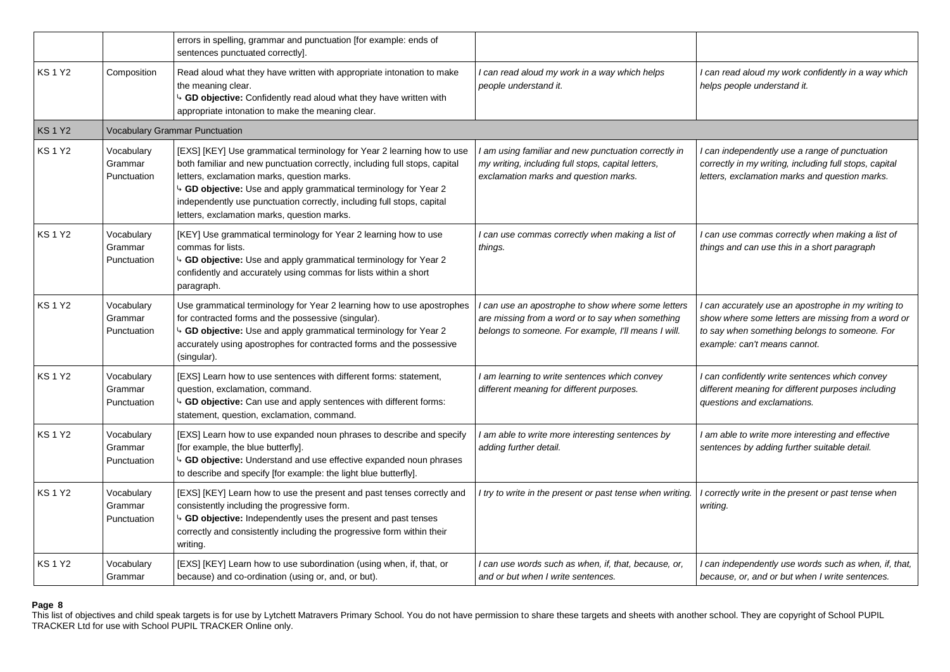|              |                                      | errors in spelling, grammar and punctuation [for example: ends of<br>sentences punctuated correctly].                                                                                                                                                                                                                                                                                            |                                                                                                                                                               |                                                                                                                                                                                          |
|--------------|--------------------------------------|--------------------------------------------------------------------------------------------------------------------------------------------------------------------------------------------------------------------------------------------------------------------------------------------------------------------------------------------------------------------------------------------------|---------------------------------------------------------------------------------------------------------------------------------------------------------------|------------------------------------------------------------------------------------------------------------------------------------------------------------------------------------------|
| <b>KS1Y2</b> | Composition                          | Read aloud what they have written with appropriate intonation to make<br>the meaning clear.<br>4 GD objective: Confidently read aloud what they have written with<br>appropriate intonation to make the meaning clear.                                                                                                                                                                           | I can read aloud my work in a way which helps<br>people understand it.                                                                                        | I can read aloud my work confidently in a way which<br>helps people understand it.                                                                                                       |
| <b>KS1Y2</b> |                                      | <b>Vocabulary Grammar Punctuation</b>                                                                                                                                                                                                                                                                                                                                                            |                                                                                                                                                               |                                                                                                                                                                                          |
| <b>KS1Y2</b> | Vocabulary<br>Grammar<br>Punctuation | [EXS] [KEY] Use grammatical terminology for Year 2 learning how to use<br>both familiar and new punctuation correctly, including full stops, capital<br>letters, exclamation marks, question marks.<br>4 GD objective: Use and apply grammatical terminology for Year 2<br>independently use punctuation correctly, including full stops, capital<br>letters, exclamation marks, question marks. | I am using familiar and new punctuation correctly in<br>my writing, including full stops, capital letters,<br>exclamation marks and question marks.           | I can independently use a range of punctuation<br>correctly in my writing, including full stops, capital<br>letters, exclamation marks and question marks.                               |
| <b>KS1Y2</b> | Vocabulary<br>Grammar<br>Punctuation | [KEY] Use grammatical terminology for Year 2 learning how to use<br>commas for lists.<br>4 GD objective: Use and apply grammatical terminology for Year 2<br>confidently and accurately using commas for lists within a short<br>paragraph.                                                                                                                                                      | I can use commas correctly when making a list of<br>things.                                                                                                   | I can use commas correctly when making a list of<br>things and can use this in a short paragraph                                                                                         |
| <b>KS1Y2</b> | Vocabulary<br>Grammar<br>Punctuation | Use grammatical terminology for Year 2 learning how to use apostrophes<br>for contracted forms and the possessive (singular).<br>4 GD objective: Use and apply grammatical terminology for Year 2<br>accurately using apostrophes for contracted forms and the possessive<br>(singular).                                                                                                         | I can use an apostrophe to show where some letters<br>are missing from a word or to say when something<br>belongs to someone. For example, I'll means I will. | can accurately use an apostrophe in my writing to<br>show where some letters are missing from a word or<br>to say when something belongs to someone. For<br>example: can't means cannot. |
| <b>KS1Y2</b> | Vocabulary<br>Grammar<br>Punctuation | [EXS] Learn how to use sentences with different forms: statement,<br>question, exclamation, command.<br>4 GD objective: Can use and apply sentences with different forms:<br>statement, question, exclamation, command.                                                                                                                                                                          | I am learning to write sentences which convey<br>different meaning for different purposes.                                                                    | I can confidently write sentences which convey<br>different meaning for different purposes including<br>questions and exclamations.                                                      |
| <b>KS1Y2</b> | Vocabulary<br>Grammar<br>Punctuation | [EXS] Learn how to use expanded noun phrases to describe and specify<br>[for example, the blue butterfly].<br>GD objective: Understand and use effective expanded noun phrases<br>to describe and specify [for example: the light blue butterfly].                                                                                                                                               | I am able to write more interesting sentences by<br>adding further detail.                                                                                    | I am able to write more interesting and effective<br>sentences by adding further suitable detail.                                                                                        |
| <b>KS1Y2</b> | Vocabulary<br>Grammar<br>Punctuation | [EXS] [KEY] Learn how to use the present and past tenses correctly and<br>consistently including the progressive form.<br>4 GD objective: Independently uses the present and past tenses<br>correctly and consistently including the progressive form within their<br>writing.                                                                                                                   | I try to write in the present or past tense when writing.                                                                                                     | I correctly write in the present or past tense when<br>writing.                                                                                                                          |
| <b>KS1Y2</b> | Vocabulary<br>Grammar                | [EXS] [KEY] Learn how to use subordination (using when, if, that, or<br>because) and co-ordination (using or, and, or but).                                                                                                                                                                                                                                                                      | I can use words such as when, if, that, because, or,<br>and or but when I write sentences.                                                                    | I can independently use words such as when, if, that,<br>because, or, and or but when I write sentences.                                                                                 |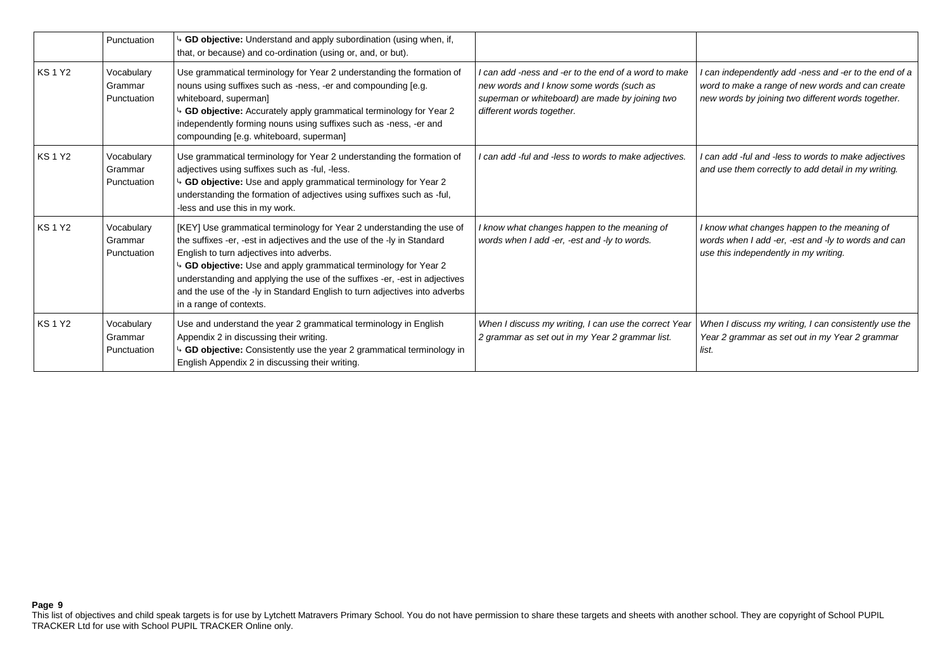|              | Punctuation                          | GD objective: Understand and apply subordination (using when, if,<br>that, or because) and co-ordination (using or, and, or but).                                                                                                                                                                                                                                                                                                                       |                                                                                                                                                                                  |                                                                                                                                                               |
|--------------|--------------------------------------|---------------------------------------------------------------------------------------------------------------------------------------------------------------------------------------------------------------------------------------------------------------------------------------------------------------------------------------------------------------------------------------------------------------------------------------------------------|----------------------------------------------------------------------------------------------------------------------------------------------------------------------------------|---------------------------------------------------------------------------------------------------------------------------------------------------------------|
| <b>KS1Y2</b> | Vocabulary<br>Grammar<br>Punctuation | Use grammatical terminology for Year 2 understanding the formation of<br>nouns using suffixes such as -ness, -er and compounding [e.g.<br>whiteboard, superman]<br>GD objective: Accurately apply grammatical terminology for Year 2<br>independently forming nouns using suffixes such as -ness, -er and<br>compounding [e.g. whiteboard, superman]                                                                                                    | I can add -ness and -er to the end of a word to make<br>new words and I know some words (such as<br>superman or whiteboard) are made by joining two<br>different words together. | can independently add -ness and -er to the end of a<br>word to make a range of new words and can create<br>new words by joining two different words together. |
| <b>KS1Y2</b> | Vocabulary<br>Grammar<br>Punctuation | Use grammatical terminology for Year 2 understanding the formation of<br>adjectives using suffixes such as -ful, -less.<br><sup>4</sup> GD objective: Use and apply grammatical terminology for Year 2<br>understanding the formation of adjectives using suffixes such as -ful,<br>-less and use this in my work.                                                                                                                                      | I can add -ful and -less to words to make adjectives.                                                                                                                            | I can add -ful and -less to words to make adjectives<br>and use them correctly to add detail in my writing.                                                   |
| <b>KS1Y2</b> | Vocabulary<br>Grammar<br>Punctuation | [KEY] Use grammatical terminology for Year 2 understanding the use of<br>the suffixes -er, -est in adjectives and the use of the -ly in Standard<br>English to turn adjectives into adverbs.<br>4 GD objective: Use and apply grammatical terminology for Year 2<br>understanding and applying the use of the suffixes -er, -est in adjectives<br>and the use of the -ly in Standard English to turn adjectives into adverbs<br>in a range of contexts. | I know what changes happen to the meaning of<br>words when I add -er, -est and -ly to words.                                                                                     | I know what changes happen to the meaning of<br>words when I add -er, -est and -ly to words and can<br>use this independently in my writing.                  |
| <b>KS1Y2</b> | Vocabulary<br>Grammar<br>Punctuation | Use and understand the year 2 grammatical terminology in English<br>Appendix 2 in discussing their writing.<br><sup>4</sup> GD objective: Consistently use the year 2 grammatical terminology in<br>English Appendix 2 in discussing their writing.                                                                                                                                                                                                     | When I discuss my writing, I can use the correct Year<br>2 grammar as set out in my Year 2 grammar list.                                                                         | When I discuss my writing, I can consistently use the<br>Year 2 grammar as set out in my Year 2 grammar<br>list.                                              |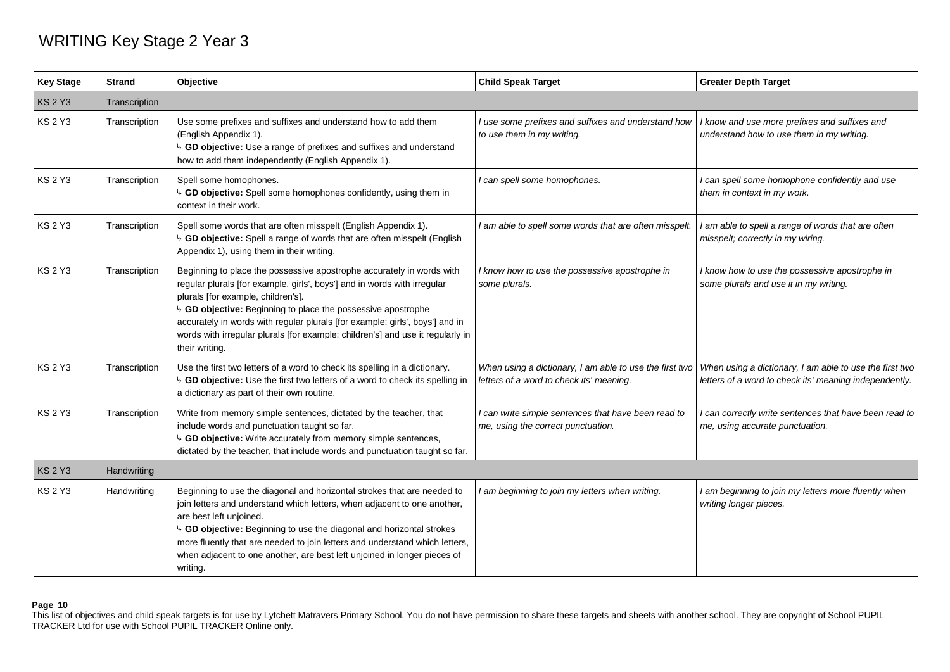## WRITING Key Stage 2 Year 3

| <b>Key Stage</b> | <b>Strand</b> | Objective                                                                                                                                                                                                                                                                                                                                                                                                                                 | <b>Child Speak Target</b>                                                                           | <b>Greater Depth Target</b>                                                                                       |
|------------------|---------------|-------------------------------------------------------------------------------------------------------------------------------------------------------------------------------------------------------------------------------------------------------------------------------------------------------------------------------------------------------------------------------------------------------------------------------------------|-----------------------------------------------------------------------------------------------------|-------------------------------------------------------------------------------------------------------------------|
| <b>KS 2 Y3</b>   | Transcription |                                                                                                                                                                                                                                                                                                                                                                                                                                           |                                                                                                     |                                                                                                                   |
| <b>KS 2 Y3</b>   | Transcription | Use some prefixes and suffixes and understand how to add them<br>(English Appendix 1).<br><sup>4</sup> GD objective: Use a range of prefixes and suffixes and understand<br>how to add them independently (English Appendix 1).                                                                                                                                                                                                           | I use some prefixes and suffixes and understand how<br>to use them in my writing.                   | I know and use more prefixes and suffixes and<br>understand how to use them in my writing.                        |
| KS 2 Y3          | Transcription | Spell some homophones.<br>GD objective: Spell some homophones confidently, using them in<br>context in their work.                                                                                                                                                                                                                                                                                                                        | I can spell some homophones.                                                                        | I can spell some homophone confidently and use<br>them in context in my work.                                     |
| <b>KS 2 Y3</b>   | Transcription | Spell some words that are often misspelt (English Appendix 1).<br>GD objective: Spell a range of words that are often misspelt (English<br>Appendix 1), using them in their writing.                                                                                                                                                                                                                                                      | I am able to spell some words that are often misspelt.                                              | I am able to spell a range of words that are often<br>misspelt; correctly in my wiring.                           |
| <b>KS 2 Y3</b>   | Transcription | Beginning to place the possessive apostrophe accurately in words with<br>regular plurals [for example, girls', boys'] and in words with irregular<br>plurals [for example, children's].<br>GD objective: Beginning to place the possessive apostrophe<br>accurately in words with regular plurals [for example: girls', boys'] and in<br>words with irregular plurals [for example: children's] and use it regularly in<br>their writing. | I know how to use the possessive apostrophe in<br>some plurals.                                     | I know how to use the possessive apostrophe in<br>some plurals and use it in my writing.                          |
| <b>KS 2 Y3</b>   | Transcription | Use the first two letters of a word to check its spelling in a dictionary.<br><sup>1</sup> GD objective: Use the first two letters of a word to check its spelling in<br>a dictionary as part of their own routine.                                                                                                                                                                                                                       | When using a dictionary, I am able to use the first two<br>letters of a word to check its' meaning. | When using a dictionary, I am able to use the first two<br>letters of a word to check its' meaning independently. |
| <b>KS 2 Y3</b>   | Transcription | Write from memory simple sentences, dictated by the teacher, that<br>include words and punctuation taught so far.<br><sup>4</sup> GD objective: Write accurately from memory simple sentences,<br>dictated by the teacher, that include words and punctuation taught so far.                                                                                                                                                              | I can write simple sentences that have been read to<br>me, using the correct punctuation.           | I can correctly write sentences that have been read to<br>me, using accurate punctuation.                         |
| <b>KS 2 Y3</b>   | Handwriting   |                                                                                                                                                                                                                                                                                                                                                                                                                                           |                                                                                                     |                                                                                                                   |
| <b>KS2Y3</b>     | Handwriting   | Beginning to use the diagonal and horizontal strokes that are needed to<br>join letters and understand which letters, when adjacent to one another,<br>are best left unjoined.<br><sup>4</sup> GD objective: Beginning to use the diagonal and horizontal strokes<br>more fluently that are needed to join letters and understand which letters,<br>when adjacent to one another, are best left unjoined in longer pieces of<br>writing.  | I am beginning to join my letters when writing.                                                     | I am beginning to join my letters more fluently when<br>writing longer pieces.                                    |

## **Page 10**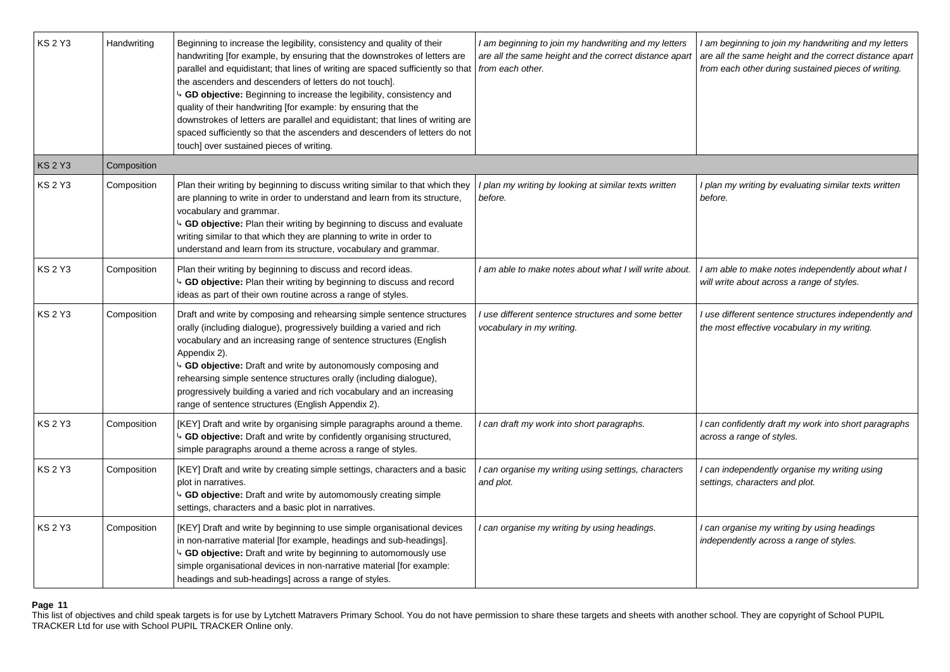| <b>KS 2 Y3</b> | Handwriting | Beginning to increase the legibility, consistency and quality of their<br>handwriting [for example, by ensuring that the downstrokes of letters are<br>parallel and equidistant; that lines of writing are spaced sufficiently so that<br>the ascenders and descenders of letters do not touch].<br>4 GD objective: Beginning to increase the legibility, consistency and<br>quality of their handwriting [for example: by ensuring that the<br>downstrokes of letters are parallel and equidistant; that lines of writing are<br>spaced sufficiently so that the ascenders and descenders of letters do not<br>touch] over sustained pieces of writing. | I am beginning to join my handwriting and my letters<br>are all the same height and the correct distance apart<br>from each other. | I am beginning to join my handwriting and my letters<br>are all the same height and the correct distance apart<br>from each other during sustained pieces of writing. |
|----------------|-------------|----------------------------------------------------------------------------------------------------------------------------------------------------------------------------------------------------------------------------------------------------------------------------------------------------------------------------------------------------------------------------------------------------------------------------------------------------------------------------------------------------------------------------------------------------------------------------------------------------------------------------------------------------------|------------------------------------------------------------------------------------------------------------------------------------|-----------------------------------------------------------------------------------------------------------------------------------------------------------------------|
| <b>KS 2 Y3</b> | Composition |                                                                                                                                                                                                                                                                                                                                                                                                                                                                                                                                                                                                                                                          |                                                                                                                                    |                                                                                                                                                                       |
| <b>KS 2 Y3</b> | Composition | Plan their writing by beginning to discuss writing similar to that which they<br>are planning to write in order to understand and learn from its structure,<br>vocabulary and grammar.<br>4 GD objective: Plan their writing by beginning to discuss and evaluate<br>writing similar to that which they are planning to write in order to<br>understand and learn from its structure, vocabulary and grammar.                                                                                                                                                                                                                                            | I plan my writing by looking at similar texts written<br>before.                                                                   | I plan my writing by evaluating similar texts written<br>before.                                                                                                      |
| <b>KS 2 Y3</b> | Composition | Plan their writing by beginning to discuss and record ideas.<br>4 GD objective: Plan their writing by beginning to discuss and record<br>ideas as part of their own routine across a range of styles.                                                                                                                                                                                                                                                                                                                                                                                                                                                    | I am able to make notes about what I will write about.                                                                             | I am able to make notes independently about what I<br>will write about across a range of styles.                                                                      |
| <b>KS 2 Y3</b> | Composition | Draft and write by composing and rehearsing simple sentence structures<br>orally (including dialogue), progressively building a varied and rich<br>vocabulary and an increasing range of sentence structures (English<br>Appendix 2).<br>4 GD objective: Draft and write by autonomously composing and<br>rehearsing simple sentence structures orally (including dialogue),<br>progressively building a varied and rich vocabulary and an increasing<br>range of sentence structures (English Appendix 2).                                                                                                                                              | I use different sentence structures and some better<br>vocabulary in my writing.                                                   | I use different sentence structures independently and<br>the most effective vocabulary in my writing.                                                                 |
| <b>KS 2 Y3</b> | Composition | [KEY] Draft and write by organising simple paragraphs around a theme.<br>4 GD objective: Draft and write by confidently organising structured,<br>simple paragraphs around a theme across a range of styles.                                                                                                                                                                                                                                                                                                                                                                                                                                             | I can draft my work into short paragraphs.                                                                                         | I can confidently draft my work into short paragraphs<br>across a range of styles.                                                                                    |
| <b>KS 2 Y3</b> | Composition | [KEY] Draft and write by creating simple settings, characters and a basic<br>plot in narratives.<br>4 GD objective: Draft and write by automomously creating simple<br>settings, characters and a basic plot in narratives.                                                                                                                                                                                                                                                                                                                                                                                                                              | I can organise my writing using settings, characters<br>and plot.                                                                  | I can independently organise my writing using<br>settings, characters and plot.                                                                                       |
| <b>KS 2 Y3</b> | Composition | [KEY] Draft and write by beginning to use simple organisational devices<br>in non-narrative material [for example, headings and sub-headings].<br>4 GD objective: Draft and write by beginning to automomously use<br>simple organisational devices in non-narrative material [for example:<br>headings and sub-headings] across a range of styles.                                                                                                                                                                                                                                                                                                      | I can organise my writing by using headings.                                                                                       | I can organise my writing by using headings<br>independently across a range of styles.                                                                                |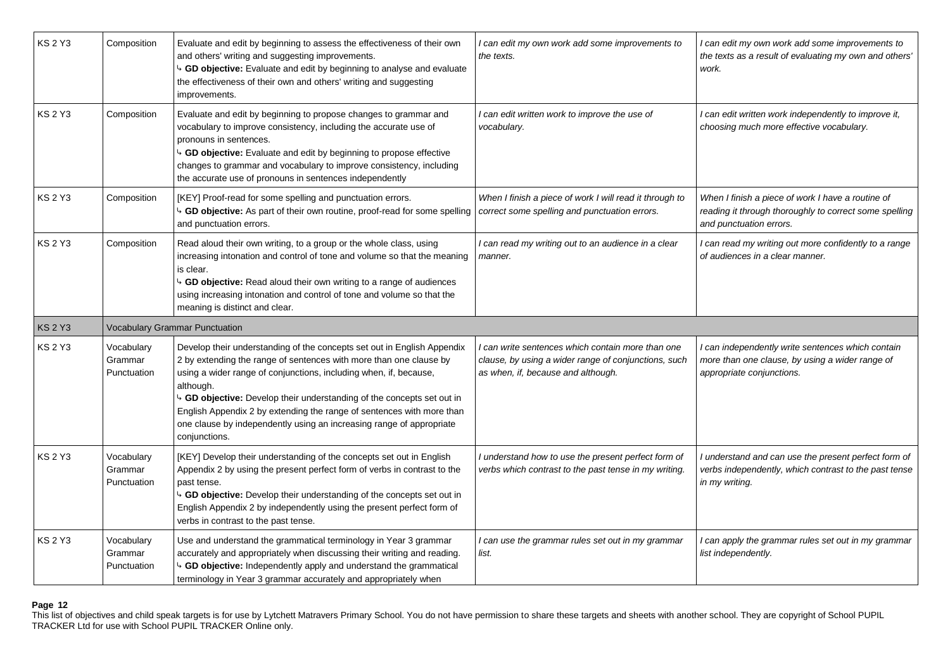| <b>KS 2 Y3</b> | Composition                          | Evaluate and edit by beginning to assess the effectiveness of their own<br>and others' writing and suggesting improvements.<br>4 GD objective: Evaluate and edit by beginning to analyse and evaluate<br>the effectiveness of their own and others' writing and suggesting<br>improvements.                                                                                                                                                                                 | I can edit my own work add some improvements to<br>the texts.                                                                                   | I can edit my own work add some improvements to<br>the texts as a result of evaluating my own and others'<br>work.                     |
|----------------|--------------------------------------|-----------------------------------------------------------------------------------------------------------------------------------------------------------------------------------------------------------------------------------------------------------------------------------------------------------------------------------------------------------------------------------------------------------------------------------------------------------------------------|-------------------------------------------------------------------------------------------------------------------------------------------------|----------------------------------------------------------------------------------------------------------------------------------------|
| <b>KS 2 Y3</b> | Composition                          | Evaluate and edit by beginning to propose changes to grammar and<br>vocabulary to improve consistency, including the accurate use of<br>pronouns in sentences.<br>4 GD objective: Evaluate and edit by beginning to propose effective<br>changes to grammar and vocabulary to improve consistency, including<br>the accurate use of pronouns in sentences independently                                                                                                     | can edit written work to improve the use of<br>vocabulary.                                                                                      | I can edit written work independently to improve it,<br>choosing much more effective vocabulary.                                       |
| <b>KS 2 Y3</b> | Composition                          | [KEY] Proof-read for some spelling and punctuation errors.<br>b GD objective: As part of their own routine, proof-read for some spelling<br>and punctuation errors.                                                                                                                                                                                                                                                                                                         | When I finish a piece of work I will read it through to<br>correct some spelling and punctuation errors.                                        | When I finish a piece of work I have a routine of<br>reading it through thoroughly to correct some spelling<br>and punctuation errors. |
| <b>KS 2 Y3</b> | Composition                          | Read aloud their own writing, to a group or the whole class, using<br>increasing intonation and control of tone and volume so that the meaning<br>is clear.<br>4 GD objective: Read aloud their own writing to a range of audiences<br>using increasing intonation and control of tone and volume so that the<br>meaning is distinct and clear.                                                                                                                             | I can read my writing out to an audience in a clear<br>manner.                                                                                  | I can read my writing out more confidently to a range<br>of audiences in a clear manner.                                               |
| <b>KS 2 Y3</b> |                                      | Vocabulary Grammar Punctuation                                                                                                                                                                                                                                                                                                                                                                                                                                              |                                                                                                                                                 |                                                                                                                                        |
| <b>KS 2 Y3</b> | Vocabulary<br>Grammar<br>Punctuation | Develop their understanding of the concepts set out in English Appendix<br>2 by extending the range of sentences with more than one clause by<br>using a wider range of conjunctions, including when, if, because,<br>although.<br>4 GD objective: Develop their understanding of the concepts set out in<br>English Appendix 2 by extending the range of sentences with more than<br>one clause by independently using an increasing range of appropriate<br>conjunctions. | l can write sentences which contain more than one<br>clause, by using a wider range of conjunctions, such<br>as when, if, because and although. | I can independently write sentences which contain<br>more than one clause, by using a wider range of<br>appropriate conjunctions.      |
| <b>KS 2 Y3</b> | Vocabulary<br>Grammar<br>Punctuation | [KEY] Develop their understanding of the concepts set out in English<br>Appendix 2 by using the present perfect form of verbs in contrast to the<br>past tense.<br>4 GD objective: Develop their understanding of the concepts set out in<br>English Appendix 2 by independently using the present perfect form of<br>verbs in contrast to the past tense.                                                                                                                  | I understand how to use the present perfect form of<br>verbs which contrast to the past tense in my writing.                                    | I understand and can use the present perfect form of<br>verbs independently, which contrast to the past tense<br>in my writing.        |
|                |                                      |                                                                                                                                                                                                                                                                                                                                                                                                                                                                             |                                                                                                                                                 |                                                                                                                                        |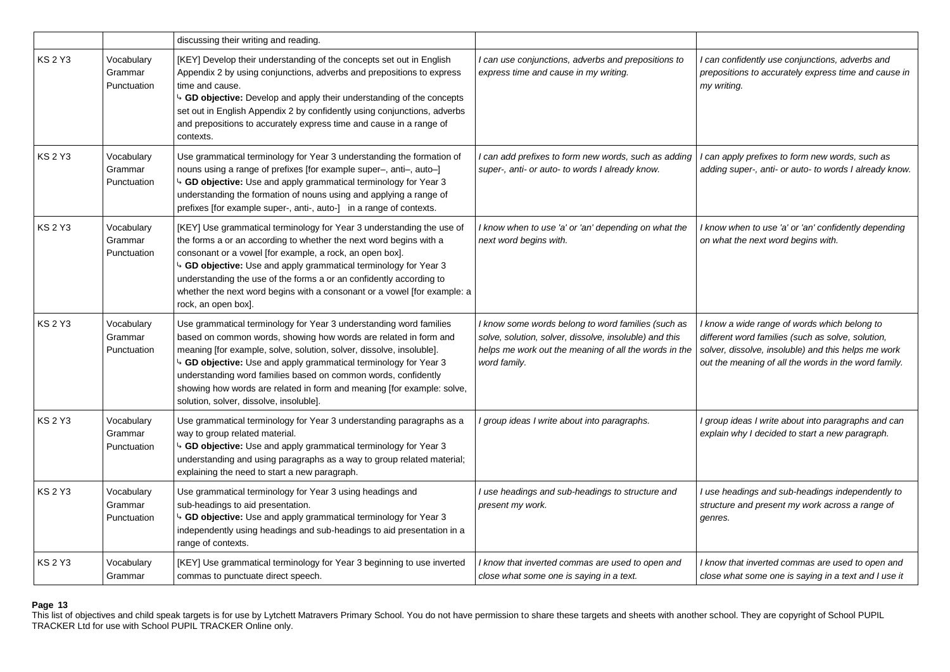|                |                                      | discussing their writing and reading.                                                                                                                                                                                                                                                                                                                                                                                                                                                |                                                                                                                                                                                       |                                                                                                                                                                                                                  |
|----------------|--------------------------------------|--------------------------------------------------------------------------------------------------------------------------------------------------------------------------------------------------------------------------------------------------------------------------------------------------------------------------------------------------------------------------------------------------------------------------------------------------------------------------------------|---------------------------------------------------------------------------------------------------------------------------------------------------------------------------------------|------------------------------------------------------------------------------------------------------------------------------------------------------------------------------------------------------------------|
| <b>KS 2 Y3</b> | Vocabulary<br>Grammar<br>Punctuation | [KEY] Develop their understanding of the concepts set out in English<br>Appendix 2 by using conjunctions, adverbs and prepositions to express<br>time and cause.<br>$\overline{9}$ GD objective: Develop and apply their understanding of the concepts<br>set out in English Appendix 2 by confidently using conjunctions, adverbs<br>and prepositions to accurately express time and cause in a range of<br>contexts.                                                               | I can use conjunctions, adverbs and prepositions to<br>express time and cause in my writing.                                                                                          | I can confidently use conjunctions, adverbs and<br>prepositions to accurately express time and cause in<br>my writing.                                                                                           |
| <b>KS 2 Y3</b> | Vocabulary<br>Grammar<br>Punctuation | Use grammatical terminology for Year 3 understanding the formation of<br>nouns using a range of prefixes [for example super-, anti-, auto-]<br><sup>4</sup> GD objective: Use and apply grammatical terminology for Year 3<br>understanding the formation of nouns using and applying a range of<br>prefixes [for example super-, anti-, auto-] in a range of contexts.                                                                                                              | I can add prefixes to form new words, such as adding<br>super-, anti- or auto- to words I already know.                                                                               | can apply prefixes to form new words, such as<br>adding super-, anti- or auto- to words I already know.                                                                                                          |
| <b>KS 2 Y3</b> | Vocabulary<br>Grammar<br>Punctuation | [KEY] Use grammatical terminology for Year 3 understanding the use of<br>the forms a or an according to whether the next word begins with a<br>consonant or a vowel [for example, a rock, an open box].<br>4 GD objective: Use and apply grammatical terminology for Year 3<br>understanding the use of the forms a or an confidently according to<br>whether the next word begins with a consonant or a vowel [for example: a<br>rock, an open box].                                | I know when to use 'a' or 'an' depending on what the<br>next word begins with.                                                                                                        | I know when to use 'a' or 'an' confidently depending<br>on what the next word begins with.                                                                                                                       |
| <b>KS 2 Y3</b> | Vocabulary<br>Grammar<br>Punctuation | Use grammatical terminology for Year 3 understanding word families<br>based on common words, showing how words are related in form and<br>meaning [for example, solve, solution, solver, dissolve, insoluble].<br><sup>4</sup> GD objective: Use and apply grammatical terminology for Year 3<br>understanding word families based on common words, confidently<br>showing how words are related in form and meaning [for example: solve,<br>solution, solver, dissolve, insoluble]. | I know some words belong to word families (such as<br>solve, solution, solver, dissolve, insoluble) and this<br>helps me work out the meaning of all the words in the<br>word family. | I know a wide range of words which belong to<br>different word families (such as solve, solution,<br>solver, dissolve, insoluble) and this helps me work<br>out the meaning of all the words in the word family. |
| <b>KS 2 Y3</b> | Vocabulary<br>Grammar<br>Punctuation | Use grammatical terminology for Year 3 understanding paragraphs as a<br>way to group related material.<br>4 GD objective: Use and apply grammatical terminology for Year 3<br>understanding and using paragraphs as a way to group related material;<br>explaining the need to start a new paragraph.                                                                                                                                                                                | group ideas I write about into paragraphs.                                                                                                                                            | I group ideas I write about into paragraphs and can<br>explain why I decided to start a new paragraph.                                                                                                           |
| <b>KS 2 Y3</b> | Vocabulary<br>Grammar<br>Punctuation | Use grammatical terminology for Year 3 using headings and<br>sub-headings to aid presentation.<br>4 GD objective: Use and apply grammatical terminology for Year 3<br>independently using headings and sub-headings to aid presentation in a<br>range of contexts.                                                                                                                                                                                                                   | I use headings and sub-headings to structure and<br>present my work.                                                                                                                  | I use headings and sub-headings independently to<br>structure and present my work across a range of<br>genres.                                                                                                   |
| <b>KS 2 Y3</b> | Vocabulary<br>Grammar                | [KEY] Use grammatical terminology for Year 3 beginning to use inverted<br>commas to punctuate direct speech.                                                                                                                                                                                                                                                                                                                                                                         | I know that inverted commas are used to open and<br>close what some one is saying in a text.                                                                                          | I know that inverted commas are used to open and<br>close what some one is saying in a text and I use it                                                                                                         |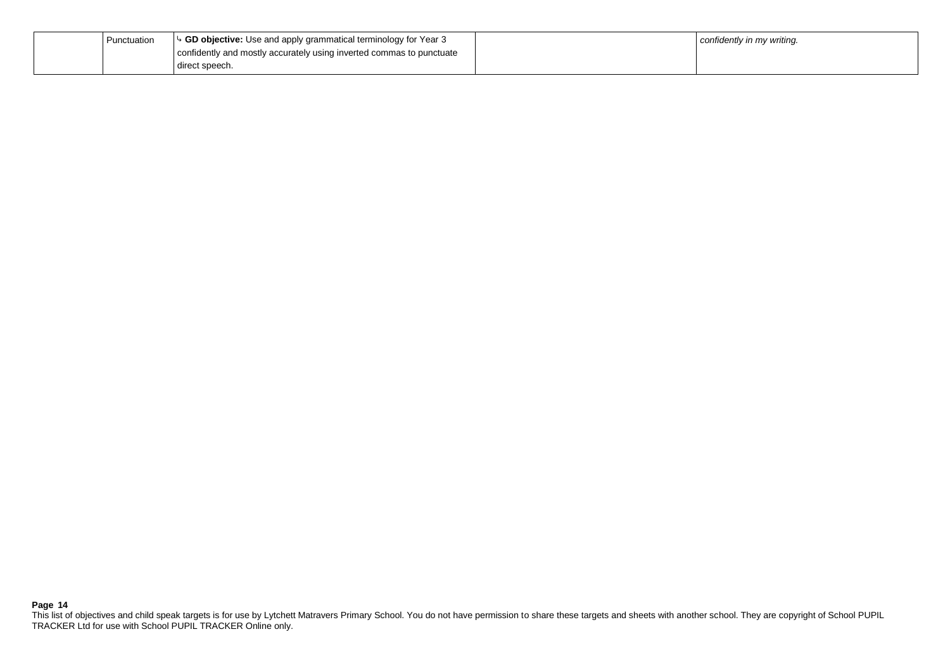| Punctuation | $\triangleright$ GD objective: Use and apply grammatical terminology for Year 3 | confidently in my writing. |
|-------------|---------------------------------------------------------------------------------|----------------------------|
|             | confidently and mostly accurately using inverted commas to punctuate            |                            |
|             | direct speech.                                                                  |                            |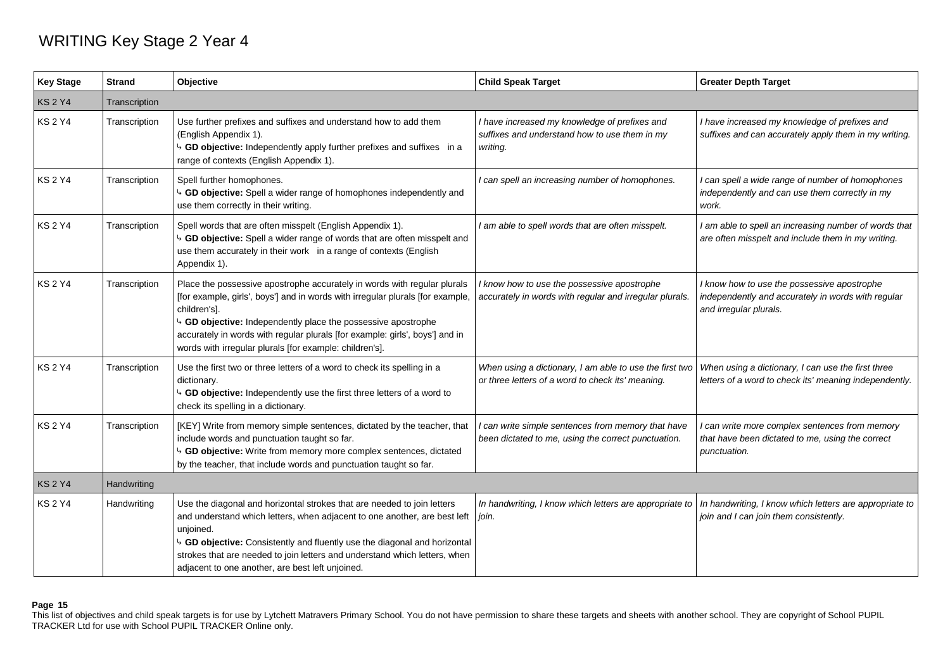## WRITING Key Stage 2 Year 4

| <b>Key Stage</b> | <b>Strand</b> | Objective                                                                                                                                                                                                                                                                                                                                                                                   | <b>Child Speak Target</b>                                                                                    | <b>Greater Depth Target</b>                                                                                                 |
|------------------|---------------|---------------------------------------------------------------------------------------------------------------------------------------------------------------------------------------------------------------------------------------------------------------------------------------------------------------------------------------------------------------------------------------------|--------------------------------------------------------------------------------------------------------------|-----------------------------------------------------------------------------------------------------------------------------|
| <b>KS2Y4</b>     | Transcription |                                                                                                                                                                                                                                                                                                                                                                                             |                                                                                                              |                                                                                                                             |
| <b>KS 2 Y4</b>   | Transcription | Use further prefixes and suffixes and understand how to add them<br>(English Appendix 1).<br>GD objective: Independently apply further prefixes and suffixes in a<br>range of contexts (English Appendix 1).                                                                                                                                                                                | I have increased my knowledge of prefixes and<br>suffixes and understand how to use them in my<br>writing.   | I have increased my knowledge of prefixes and<br>suffixes and can accurately apply them in my writing.                      |
| <b>KS2Y4</b>     | Transcription | Spell further homophones.<br><sup>4</sup> GD objective: Spell a wider range of homophones independently and<br>use them correctly in their writing.                                                                                                                                                                                                                                         | I can spell an increasing number of homophones.                                                              | I can spell a wide range of number of homophones<br>independently and can use them correctly in my<br>work.                 |
| <b>KS 2 Y4</b>   | Transcription | Spell words that are often misspelt (English Appendix 1).<br><sup>1</sup> GD objective: Spell a wider range of words that are often misspelt and<br>use them accurately in their work in a range of contexts (English<br>Appendix 1).                                                                                                                                                       | I am able to spell words that are often misspelt.                                                            | I am able to spell an increasing number of words that<br>are often misspelt and include them in my writing.                 |
| <b>KS2Y4</b>     | Transcription | Place the possessive apostrophe accurately in words with regular plurals<br>[for example, girls', boys'] and in words with irregular plurals [for example,<br>children's].<br>GD objective: Independently place the possessive apostrophe<br>accurately in words with regular plurals [for example: girls', boys'] and in<br>words with irregular plurals [for example: children's].        | I know how to use the possessive apostrophe<br>accurately in words with regular and irregular plurals.       | I know how to use the possessive apostrophe<br>independently and accurately in words with regular<br>and irregular plurals. |
| <b>KS2Y4</b>     | Transcription | Use the first two or three letters of a word to check its spelling in a<br>dictionary.<br><sup>1</sup> GD objective: Independently use the first three letters of a word to<br>check its spelling in a dictionary.                                                                                                                                                                          | When using a dictionary, I am able to use the first two<br>or three letters of a word to check its' meaning. | When using a dictionary, I can use the first three<br>letters of a word to check its' meaning independently.                |
| <b>KS2Y4</b>     | Transcription | [KEY] Write from memory simple sentences, dictated by the teacher, that<br>include words and punctuation taught so far.<br><sup>4</sup> GD objective: Write from memory more complex sentences, dictated<br>by the teacher, that include words and punctuation taught so far.                                                                                                               | can write simple sentences from memory that have<br>been dictated to me, using the correct punctuation.      | I can write more complex sentences from memory<br>that have been dictated to me, using the correct<br>punctuation.          |
| KS 2 Y4          | Handwriting   |                                                                                                                                                                                                                                                                                                                                                                                             |                                                                                                              |                                                                                                                             |
| <b>KS2Y4</b>     | Handwriting   | Use the diagonal and horizontal strokes that are needed to join letters<br>and understand which letters, when adjacent to one another, are best left<br>unjoined.<br><sup>1</sup> GD objective: Consistently and fluently use the diagonal and horizontal<br>strokes that are needed to join letters and understand which letters, when<br>adjacent to one another, are best left unjoined. | In handwriting, I know which letters are appropriate to<br>join.                                             | In handwriting, I know which letters are appropriate to<br>join and I can join them consistently.                           |

## **Page 15**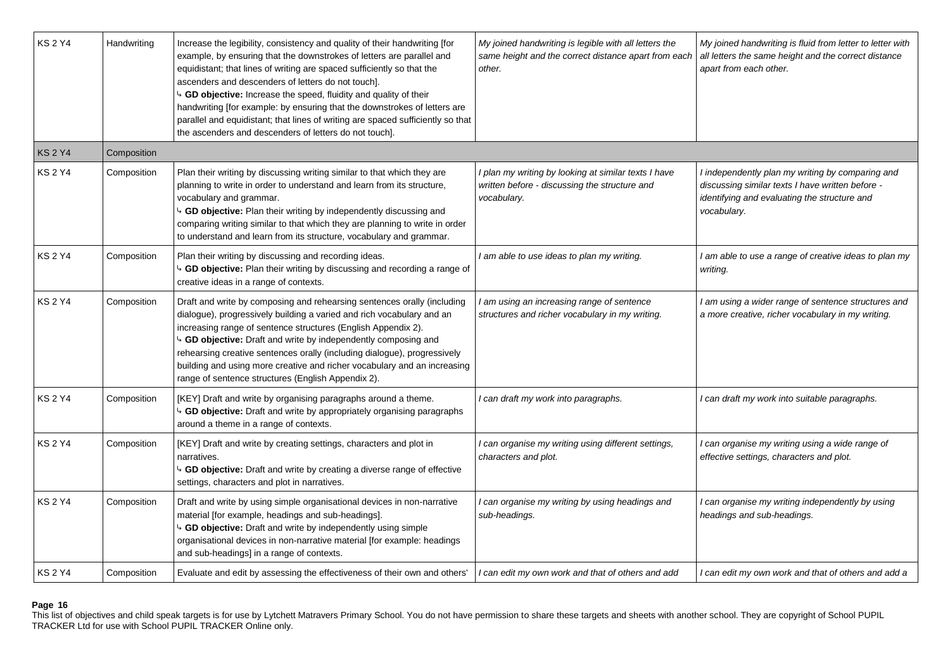| <b>KS2Y4</b>   | Handwriting | Increase the legibility, consistency and quality of their handwriting [for<br>example, by ensuring that the downstrokes of letters are parallel and<br>equidistant; that lines of writing are spaced sufficiently so that the<br>ascenders and descenders of letters do not touch].<br>4 GD objective: Increase the speed, fluidity and quality of their<br>handwriting [for example: by ensuring that the downstrokes of letters are<br>parallel and equidistant; that lines of writing are spaced sufficiently so that<br>the ascenders and descenders of letters do not touch]. | My joined handwriting is legible with all letters the<br>same height and the correct distance apart from each<br>other. | My joined handwriting is fluid from letter to letter with<br>all letters the same height and the correct distance<br>apart from each other.                         |
|----------------|-------------|------------------------------------------------------------------------------------------------------------------------------------------------------------------------------------------------------------------------------------------------------------------------------------------------------------------------------------------------------------------------------------------------------------------------------------------------------------------------------------------------------------------------------------------------------------------------------------|-------------------------------------------------------------------------------------------------------------------------|---------------------------------------------------------------------------------------------------------------------------------------------------------------------|
| <b>KS 2 Y4</b> | Composition |                                                                                                                                                                                                                                                                                                                                                                                                                                                                                                                                                                                    |                                                                                                                         |                                                                                                                                                                     |
| <b>KS 2 Y4</b> | Composition | Plan their writing by discussing writing similar to that which they are<br>planning to write in order to understand and learn from its structure,<br>vocabulary and grammar.<br>4 GD objective: Plan their writing by independently discussing and<br>comparing writing similar to that which they are planning to write in order<br>to understand and learn from its structure, vocabulary and grammar.                                                                                                                                                                           | I plan my writing by looking at similar texts I have<br>written before - discussing the structure and<br>vocabulary.    | I independently plan my writing by comparing and<br>discussing similar texts I have written before -<br>identifying and evaluating the structure and<br>vocabulary. |
| <b>KS 2 Y4</b> | Composition | Plan their writing by discussing and recording ideas.<br>4 GD objective: Plan their writing by discussing and recording a range of<br>creative ideas in a range of contexts.                                                                                                                                                                                                                                                                                                                                                                                                       | I am able to use ideas to plan my writing.                                                                              | I am able to use a range of creative ideas to plan my<br>writing.                                                                                                   |
| <b>KS 2 Y4</b> | Composition | Draft and write by composing and rehearsing sentences orally (including<br>dialogue), progressively building a varied and rich vocabulary and an<br>increasing range of sentence structures (English Appendix 2).<br><b>GD objective:</b> Draft and write by independently composing and<br>rehearsing creative sentences orally (including dialogue), progressively<br>building and using more creative and richer vocabulary and an increasing<br>range of sentence structures (English Appendix 2).                                                                             | I am using an increasing range of sentence<br>structures and richer vocabulary in my writing.                           | I am using a wider range of sentence structures and<br>a more creative, richer vocabulary in my writing.                                                            |
| <b>KS 2 Y4</b> | Composition | [KEY] Draft and write by organising paragraphs around a theme.<br>b GD objective: Draft and write by appropriately organising paragraphs<br>around a theme in a range of contexts.                                                                                                                                                                                                                                                                                                                                                                                                 | I can draft my work into paragraphs.                                                                                    | I can draft my work into suitable paragraphs.                                                                                                                       |
| <b>KS 2 Y4</b> | Composition | [KEY] Draft and write by creating settings, characters and plot in<br>narratives.<br>4 GD objective: Draft and write by creating a diverse range of effective<br>settings, characters and plot in narratives.                                                                                                                                                                                                                                                                                                                                                                      | I can organise my writing using different settings,<br>characters and plot.                                             | I can organise my writing using a wide range of<br>effective settings, characters and plot.                                                                         |
| <b>KS 2 Y4</b> | Composition | Draft and write by using simple organisational devices in non-narrative<br>material [for example, headings and sub-headings].<br>4 GD objective: Draft and write by independently using simple<br>organisational devices in non-narrative material [for example: headings<br>and sub-headings] in a range of contexts.                                                                                                                                                                                                                                                             | I can organise my writing by using headings and<br>sub-headings.                                                        | I can organise my writing independently by using<br>headings and sub-headings.                                                                                      |
| <b>KS2Y4</b>   | Composition | Evaluate and edit by assessing the effectiveness of their own and others'                                                                                                                                                                                                                                                                                                                                                                                                                                                                                                          | I can edit my own work and that of others and add                                                                       | I can edit my own work and that of others and add a                                                                                                                 |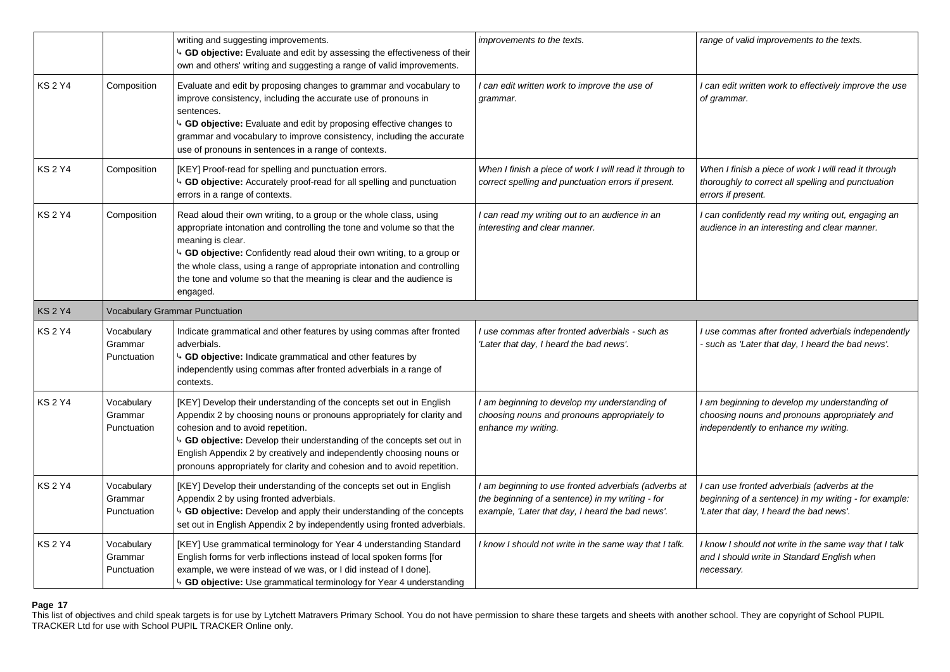|                |                                      | writing and suggesting improvements.<br>4 GD objective: Evaluate and edit by assessing the effectiveness of their<br>own and others' writing and suggesting a range of valid improvements.                                                                                                                                                                                                                      | improvements to the texts.                                                                                                                                   | range of valid improvements to the texts.                                                                                                      |
|----------------|--------------------------------------|-----------------------------------------------------------------------------------------------------------------------------------------------------------------------------------------------------------------------------------------------------------------------------------------------------------------------------------------------------------------------------------------------------------------|--------------------------------------------------------------------------------------------------------------------------------------------------------------|------------------------------------------------------------------------------------------------------------------------------------------------|
| <b>KS 2 Y4</b> | Composition                          | Evaluate and edit by proposing changes to grammar and vocabulary to<br>improve consistency, including the accurate use of pronouns in<br>sentences.<br>↓ GD objective: Evaluate and edit by proposing effective changes to<br>grammar and vocabulary to improve consistency, including the accurate<br>use of pronouns in sentences in a range of contexts.                                                     | I can edit written work to improve the use of<br>grammar.                                                                                                    | I can edit written work to effectively improve the use<br>of grammar.                                                                          |
| KS 2 Y4        | Composition                          | [KEY] Proof-read for spelling and punctuation errors.<br>$\sim$ GD objective: Accurately proof-read for all spelling and punctuation<br>errors in a range of contexts.                                                                                                                                                                                                                                          | When I finish a piece of work I will read it through to<br>correct spelling and punctuation errors if present.                                               | When I finish a piece of work I will read it through<br>thoroughly to correct all spelling and punctuation<br>errors if present.               |
| KS 2 Y4        | Composition                          | Read aloud their own writing, to a group or the whole class, using<br>appropriate intonation and controlling the tone and volume so that the<br>meaning is clear.<br>4 GD objective: Confidently read aloud their own writing, to a group or<br>the whole class, using a range of appropriate intonation and controlling<br>the tone and volume so that the meaning is clear and the audience is<br>engaged.    | I can read my writing out to an audience in an<br>interesting and clear manner.                                                                              | I can confidently read my writing out, engaging an<br>audience in an interesting and clear manner.                                             |
| KS 2 Y4        |                                      | <b>Vocabulary Grammar Punctuation</b>                                                                                                                                                                                                                                                                                                                                                                           |                                                                                                                                                              |                                                                                                                                                |
| KS 2 Y4        | Vocabulary<br>Grammar<br>Punctuation | Indicate grammatical and other features by using commas after fronted<br>adverbials.<br><sup>1</sup> GD objective: Indicate grammatical and other features by<br>independently using commas after fronted adverbials in a range of<br>contexts.                                                                                                                                                                 | I use commas after fronted adverbials - such as<br>'Later that day, I heard the bad news'.                                                                   | I use commas after fronted adverbials independently<br>such as 'Later that day, I heard the bad news'.                                         |
| <b>KS 2 Y4</b> | Vocabulary<br>Grammar<br>Punctuation | [KEY] Develop their understanding of the concepts set out in English<br>Appendix 2 by choosing nouns or pronouns appropriately for clarity and<br>cohesion and to avoid repetition.<br>GD objective: Develop their understanding of the concepts set out in<br>English Appendix 2 by creatively and independently choosing nouns or<br>pronouns appropriately for clarity and cohesion and to avoid repetition. | I am beginning to develop my understanding of<br>choosing nouns and pronouns appropriately to<br>enhance my writing.                                         | I am beginning to develop my understanding of<br>choosing nouns and pronouns appropriately and<br>independently to enhance my writing.         |
| KS 2 Y4        | Vocabulary<br>Grammar<br>Punctuation | [KEY] Develop their understanding of the concepts set out in English<br>Appendix 2 by using fronted adverbials.<br><sup>1</sup> GD objective: Develop and apply their understanding of the concepts<br>set out in English Appendix 2 by independently using fronted adverbials.                                                                                                                                 | I am beginning to use fronted adverbials (adverbs at<br>the beginning of a sentence) in my writing - for<br>example, 'Later that day, I heard the bad news'. | can use fronted adverbials (adverbs at the<br>beginning of a sentence) in my writing - for example:<br>'Later that day, I heard the bad news'. |
| KS 2 Y4        | Vocabulary<br>Grammar<br>Punctuation | [KEY] Use grammatical terminology for Year 4 understanding Standard<br>English forms for verb inflections instead of local spoken forms [for<br>example, we were instead of we was, or I did instead of I done].<br><sup>4</sup> GD objective: Use grammatical terminology for Year 4 understanding                                                                                                             | I know I should not write in the same way that I talk.                                                                                                       | I know I should not write in the same way that I talk<br>and I should write in Standard English when<br>necessary.                             |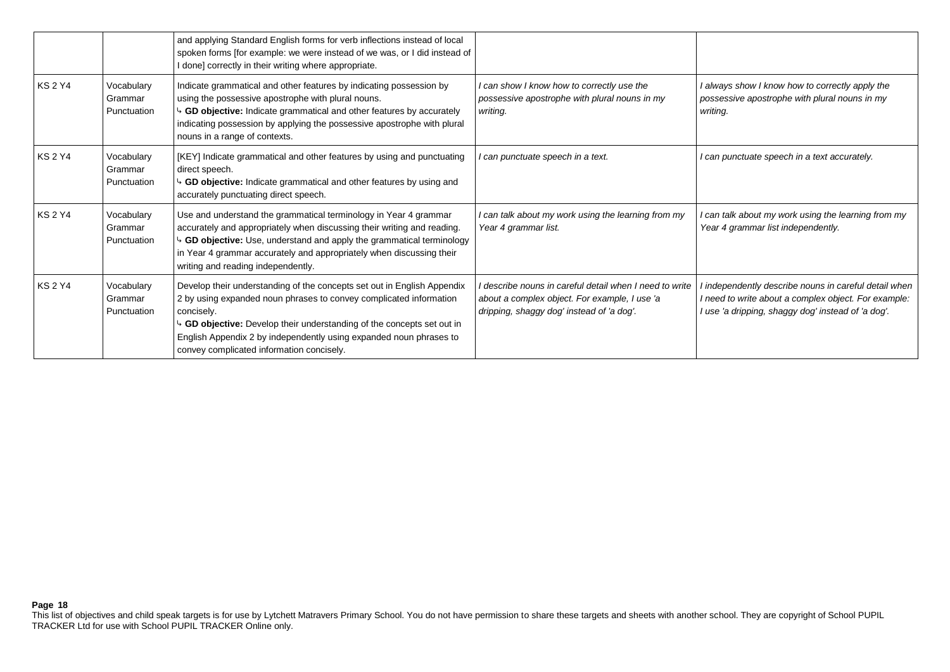|                |                                      | and applying Standard English forms for verb inflections instead of local<br>spoken forms [for example: we were instead of we was, or I did instead of<br>I done] correctly in their writing where appropriate.                                                                                                                                        |                                                                                                                                                     |                                                                                                                                                                   |
|----------------|--------------------------------------|--------------------------------------------------------------------------------------------------------------------------------------------------------------------------------------------------------------------------------------------------------------------------------------------------------------------------------------------------------|-----------------------------------------------------------------------------------------------------------------------------------------------------|-------------------------------------------------------------------------------------------------------------------------------------------------------------------|
| <b>KS 2 Y4</b> | Vocabulary<br>Grammar<br>Punctuation | Indicate grammatical and other features by indicating possession by<br>using the possessive apostrophe with plural nouns.<br>↓ GD objective: Indicate grammatical and other features by accurately<br>indicating possession by applying the possessive apostrophe with plural<br>nouns in a range of contexts.                                         | I can show I know how to correctly use the<br>possessive apostrophe with plural nouns in my<br>writing.                                             | I always show I know how to correctly apply the<br>possessive apostrophe with plural nouns in my<br>writing.                                                      |
| <b>KS 2 Y4</b> | Vocabulary<br>Grammar<br>Punctuation | [KEY] Indicate grammatical and other features by using and punctuating<br>direct speech.<br>GD objective: Indicate grammatical and other features by using and<br>accurately punctuating direct speech.                                                                                                                                                | I can punctuate speech in a text.                                                                                                                   | I can punctuate speech in a text accurately.                                                                                                                      |
| <b>KS2Y4</b>   | Vocabulary<br>Grammar<br>Punctuation | Use and understand the grammatical terminology in Year 4 grammar<br>accurately and appropriately when discussing their writing and reading.<br>GD objective: Use, understand and apply the grammatical terminology<br>in Year 4 grammar accurately and appropriately when discussing their<br>writing and reading independently.                       | I can talk about my work using the learning from my<br>Year 4 grammar list.                                                                         | can talk about my work using the learning from my<br>Year 4 grammar list independently.                                                                           |
| <b>KS 2 Y4</b> | Vocabulary<br>Grammar<br>Punctuation | Develop their understanding of the concepts set out in English Appendix<br>2 by using expanded noun phrases to convey complicated information<br>concisely.<br>GD objective: Develop their understanding of the concepts set out in<br>English Appendix 2 by independently using expanded noun phrases to<br>convey complicated information concisely. | describe nouns in careful detail when I need to write<br>about a complex object. For example, I use 'a<br>dripping, shaggy dog' instead of 'a dog'. | independently describe nouns in careful detail when<br>I need to write about a complex object. For example:<br>l use 'a dripping, shaggy dog' instead of 'a dog'. |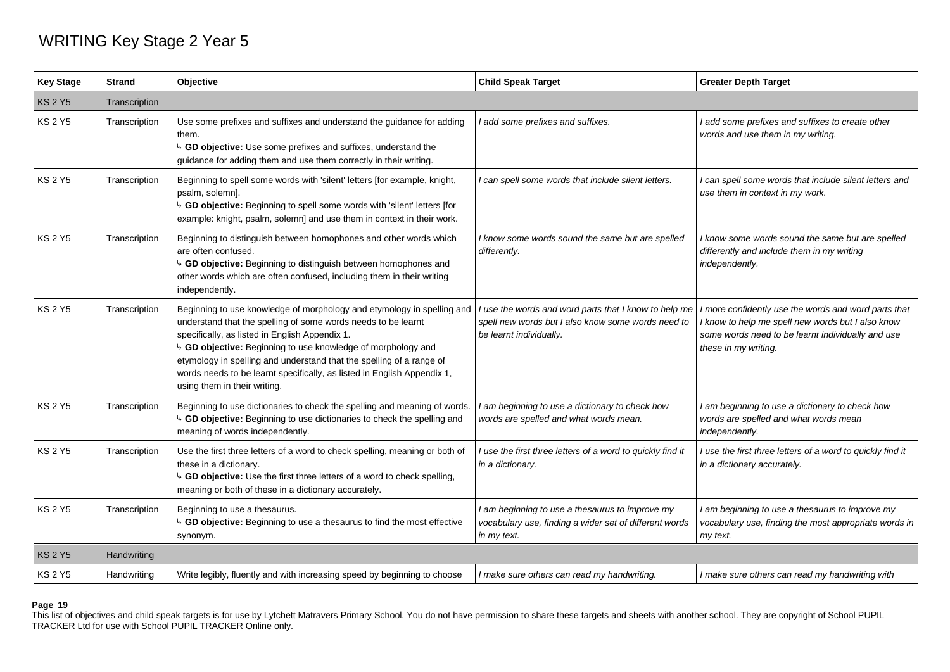## WRITING Key Stage 2 Year 5

| <b>Key Stage</b> | <b>Strand</b> | Objective                                                                                                                                                                                                                                                                                                                                                                                                                                               | <b>Child Speak Target</b>                                                                                                              | <b>Greater Depth Target</b>                                                                                                                                                            |
|------------------|---------------|---------------------------------------------------------------------------------------------------------------------------------------------------------------------------------------------------------------------------------------------------------------------------------------------------------------------------------------------------------------------------------------------------------------------------------------------------------|----------------------------------------------------------------------------------------------------------------------------------------|----------------------------------------------------------------------------------------------------------------------------------------------------------------------------------------|
| <b>KS 2 Y5</b>   | Transcription |                                                                                                                                                                                                                                                                                                                                                                                                                                                         |                                                                                                                                        |                                                                                                                                                                                        |
| <b>KS 2 Y5</b>   | Transcription | Use some prefixes and suffixes and understand the guidance for adding<br>them.<br><sup>1</sup> GD objective: Use some prefixes and suffixes, understand the<br>guidance for adding them and use them correctly in their writing.                                                                                                                                                                                                                        | I add some prefixes and suffixes.                                                                                                      | I add some prefixes and suffixes to create other<br>words and use them in my writing.                                                                                                  |
| <b>KS 2 Y5</b>   | Transcription | Beginning to spell some words with 'silent' letters [for example, knight,<br>psalm, solemn].<br><sup>1</sup> GD objective: Beginning to spell some words with 'silent' letters [for<br>example: knight, psalm, solemn] and use them in context in their work.                                                                                                                                                                                           | I can spell some words that include silent letters.                                                                                    | I can spell some words that include silent letters and<br>use them in context in my work.                                                                                              |
| KS 2 Y5          | Transcription | Beginning to distinguish between homophones and other words which<br>are often confused.<br>4 GD objective: Beginning to distinguish between homophones and<br>other words which are often confused, including them in their writing<br>independently.                                                                                                                                                                                                  | I know some words sound the same but are spelled<br>differently.                                                                       | I know some words sound the same but are spelled<br>differently and include them in my writing<br>independently.                                                                       |
| <b>KS 2 Y5</b>   | Transcription | Beginning to use knowledge of morphology and etymology in spelling and<br>understand that the spelling of some words needs to be learnt<br>specifically, as listed in English Appendix 1.<br><sup>4</sup> GD objective: Beginning to use knowledge of morphology and<br>etymology in spelling and understand that the spelling of a range of<br>words needs to be learnt specifically, as listed in English Appendix 1,<br>using them in their writing. | I use the words and word parts that I know to help me<br>spell new words but I also know some words need to<br>be learnt individually. | I more confidently use the words and word parts that<br>I know to help me spell new words but I also know<br>some words need to be learnt individually and use<br>these in my writing. |
| KS 2 Y5          | Transcription | Beginning to use dictionaries to check the spelling and meaning of words.<br><sup>4</sup> GD objective: Beginning to use dictionaries to check the spelling and<br>meaning of words independently.                                                                                                                                                                                                                                                      | I am beginning to use a dictionary to check how<br>words are spelled and what words mean.                                              | I am beginning to use a dictionary to check how<br>words are spelled and what words mean<br>independently.                                                                             |
| <b>KS 2 Y5</b>   | Transcription | Use the first three letters of a word to check spelling, meaning or both of<br>these in a dictionary.<br><sup>4</sup> GD objective: Use the first three letters of a word to check spelling,<br>meaning or both of these in a dictionary accurately.                                                                                                                                                                                                    | I use the first three letters of a word to quickly find it<br>in a dictionary.                                                         | I use the first three letters of a word to quickly find it<br>in a dictionary accurately.                                                                                              |
| <b>KS 2 Y5</b>   | Transcription | Beginning to use a thesaurus.<br><sup>1</sup> GD objective: Beginning to use a thesaurus to find the most effective<br>synonym.                                                                                                                                                                                                                                                                                                                         | I am beginning to use a thesaurus to improve my<br>vocabulary use, finding a wider set of different words<br>in my text.               | I am beginning to use a thesaurus to improve my<br>vocabulary use, finding the most appropriate words in<br>my text.                                                                   |
| <b>KS 2 Y5</b>   | Handwriting   |                                                                                                                                                                                                                                                                                                                                                                                                                                                         |                                                                                                                                        |                                                                                                                                                                                        |
| <b>KS 2 Y5</b>   | Handwriting   | Write legibly, fluently and with increasing speed by beginning to choose                                                                                                                                                                                                                                                                                                                                                                                | I make sure others can read my handwriting.                                                                                            | I make sure others can read my handwriting with                                                                                                                                        |

## **Page 19**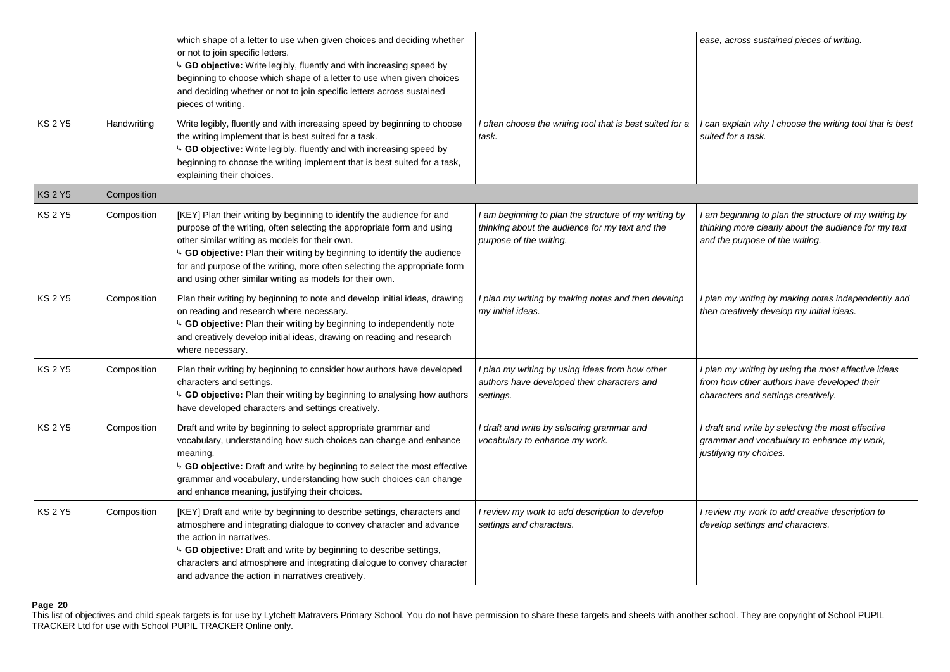|                |             | which shape of a letter to use when given choices and deciding whether<br>or not to join specific letters.<br>GD objective: Write legibly, fluently and with increasing speed by<br>beginning to choose which shape of a letter to use when given choices<br>and deciding whether or not to join specific letters across sustained<br>pieces of writing.                                                                           |                                                                                                                                     | ease, across sustained pieces of writing.                                                                                                        |
|----------------|-------------|------------------------------------------------------------------------------------------------------------------------------------------------------------------------------------------------------------------------------------------------------------------------------------------------------------------------------------------------------------------------------------------------------------------------------------|-------------------------------------------------------------------------------------------------------------------------------------|--------------------------------------------------------------------------------------------------------------------------------------------------|
| <b>KS 2 Y5</b> | Handwriting | Write legibly, fluently and with increasing speed by beginning to choose<br>the writing implement that is best suited for a task.<br>4 GD objective: Write legibly, fluently and with increasing speed by<br>beginning to choose the writing implement that is best suited for a task,<br>explaining their choices.                                                                                                                | I often choose the writing tool that is best suited for a<br>task.                                                                  | can explain why I choose the writing tool that is best<br>suited for a task.                                                                     |
| <b>KS 2 Y5</b> | Composition |                                                                                                                                                                                                                                                                                                                                                                                                                                    |                                                                                                                                     |                                                                                                                                                  |
| <b>KS 2 Y5</b> | Composition | [KEY] Plan their writing by beginning to identify the audience for and<br>purpose of the writing, often selecting the appropriate form and using<br>other similar writing as models for their own.<br><sup>1</sup> GD objective: Plan their writing by beginning to identify the audience<br>for and purpose of the writing, more often selecting the appropriate form<br>and using other similar writing as models for their own. | I am beginning to plan the structure of my writing by<br>thinking about the audience for my text and the<br>purpose of the writing. | I am beginning to plan the structure of my writing by<br>thinking more clearly about the audience for my text<br>and the purpose of the writing. |
| <b>KS 2 Y5</b> | Composition | Plan their writing by beginning to note and develop initial ideas, drawing<br>on reading and research where necessary.<br>4 GD objective: Plan their writing by beginning to independently note<br>and creatively develop initial ideas, drawing on reading and research<br>where necessary.                                                                                                                                       | I plan my writing by making notes and then develop<br>my initial ideas.                                                             | I plan my writing by making notes independently and<br>then creatively develop my initial ideas.                                                 |
| <b>KS 2 Y5</b> | Composition | Plan their writing by beginning to consider how authors have developed<br>characters and settings.<br><sup>4</sup> GD objective: Plan their writing by beginning to analysing how authors<br>have developed characters and settings creatively.                                                                                                                                                                                    | I plan my writing by using ideas from how other<br>authors have developed their characters and<br>settings.                         | I plan my writing by using the most effective ideas<br>from how other authors have developed their<br>characters and settings creatively.        |
| <b>KS 2 Y5</b> | Composition | Draft and write by beginning to select appropriate grammar and<br>vocabulary, understanding how such choices can change and enhance<br>meaning.<br><sup>4</sup> GD objective: Draft and write by beginning to select the most effective<br>grammar and vocabulary, understanding how such choices can change<br>and enhance meaning, justifying their choices.                                                                     | I draft and write by selecting grammar and<br>vocabulary to enhance my work.                                                        | I draft and write by selecting the most effective<br>grammar and vocabulary to enhance my work,<br>justifying my choices.                        |
| <b>KS 2 Y5</b> | Composition | [KEY] Draft and write by beginning to describe settings, characters and<br>atmosphere and integrating dialogue to convey character and advance<br>the action in narratives.<br>GD objective: Draft and write by beginning to describe settings,<br>characters and atmosphere and integrating dialogue to convey character<br>and advance the action in narratives creatively.                                                      | I review my work to add description to develop<br>settings and characters.                                                          | I review my work to add creative description to<br>develop settings and characters.                                                              |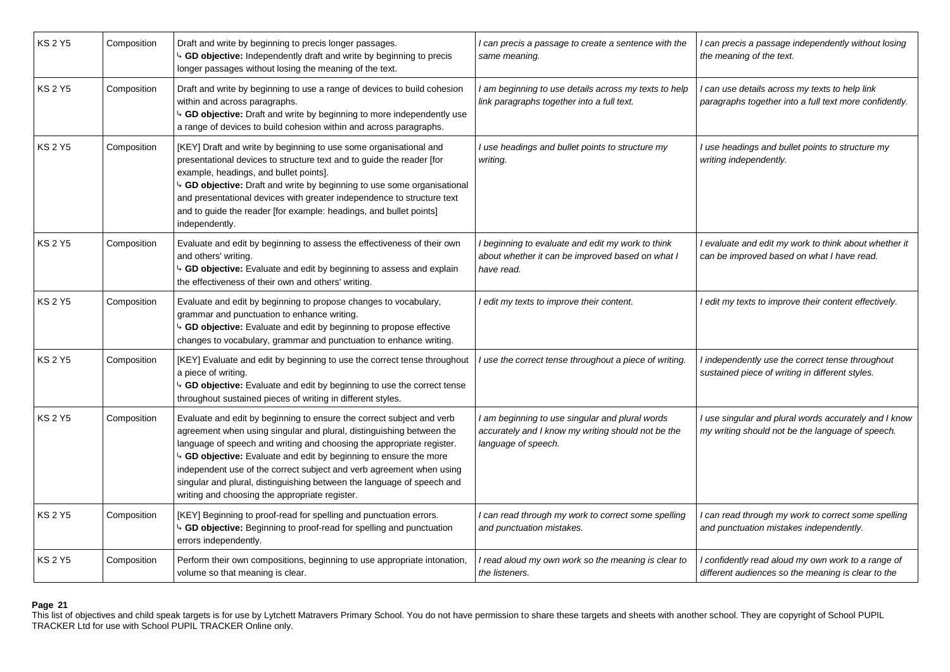| KS 2 Y5        | Composition | Draft and write by beginning to precis longer passages.<br>GD objective: Independently draft and write by beginning to precis<br>longer passages without losing the meaning of the text.                                                                                                                                                                                                                                                                                                                   | I can precis a passage to create a sentence with the<br>same meaning.                                                        | I can precis a passage independently without losing<br>the meaning of the text.                           |
|----------------|-------------|------------------------------------------------------------------------------------------------------------------------------------------------------------------------------------------------------------------------------------------------------------------------------------------------------------------------------------------------------------------------------------------------------------------------------------------------------------------------------------------------------------|------------------------------------------------------------------------------------------------------------------------------|-----------------------------------------------------------------------------------------------------------|
| <b>KS 2 Y5</b> | Composition | Draft and write by beginning to use a range of devices to build cohesion<br>within and across paragraphs.<br>4 GD objective: Draft and write by beginning to more independently use<br>a range of devices to build cohesion within and across paragraphs.                                                                                                                                                                                                                                                  | I am beginning to use details across my texts to help<br>link paragraphs together into a full text.                          | can use details across my texts to help link<br>paragraphs together into a full text more confidently.    |
| <b>KS2Y5</b>   | Composition | [KEY] Draft and write by beginning to use some organisational and<br>presentational devices to structure text and to guide the reader [for<br>example, headings, and bullet points].<br><sup>4</sup> GD objective: Draft and write by beginning to use some organisational<br>and presentational devices with greater independence to structure text<br>and to guide the reader [for example: headings, and bullet points]<br>independently.                                                               | I use headings and bullet points to structure my<br>writing.                                                                 | I use headings and bullet points to structure my<br>writing independently.                                |
| <b>KS 2 Y5</b> | Composition | Evaluate and edit by beginning to assess the effectiveness of their own<br>and others' writing.<br><sup>1</sup> GD objective: Evaluate and edit by beginning to assess and explain<br>the effectiveness of their own and others' writing.                                                                                                                                                                                                                                                                  | I beginning to evaluate and edit my work to think<br>about whether it can be improved based on what I<br>have read.          | l evaluate and edit my work to think about whether it<br>can be improved based on what I have read.       |
| KS 2 Y5        | Composition | Evaluate and edit by beginning to propose changes to vocabulary,<br>grammar and punctuation to enhance writing.<br><sup>1</sup> GD objective: Evaluate and edit by beginning to propose effective<br>changes to vocabulary, grammar and punctuation to enhance writing.                                                                                                                                                                                                                                    | I edit my texts to improve their content.                                                                                    | I edit my texts to improve their content effectively.                                                     |
| <b>KS 2 Y5</b> | Composition | [KEY] Evaluate and edit by beginning to use the correct tense throughout<br>a piece of writing.<br><sup>4</sup> GD objective: Evaluate and edit by beginning to use the correct tense<br>throughout sustained pieces of writing in different styles.                                                                                                                                                                                                                                                       | I use the correct tense throughout a piece of writing.                                                                       | I independently use the correct tense throughout<br>sustained piece of writing in different styles.       |
| <b>KS 2 Y5</b> | Composition | Evaluate and edit by beginning to ensure the correct subject and verb<br>agreement when using singular and plural, distinguishing between the<br>language of speech and writing and choosing the appropriate register.<br><sup>4</sup> GD objective: Evaluate and edit by beginning to ensure the more<br>independent use of the correct subject and verb agreement when using<br>singular and plural, distinguishing between the language of speech and<br>writing and choosing the appropriate register. | I am beginning to use singular and plural words<br>accurately and I know my writing should not be the<br>language of speech. | I use singular and plural words accurately and I know<br>my writing should not be the language of speech. |
| <b>KS 2 Y5</b> | Composition | [KEY] Beginning to proof-read for spelling and punctuation errors.<br><sup>4</sup> GD objective: Beginning to proof-read for spelling and punctuation<br>errors independently.                                                                                                                                                                                                                                                                                                                             | I can read through my work to correct some spelling<br>and punctuation mistakes.                                             | can read through my work to correct some spelling<br>and punctuation mistakes independently.              |
| <b>KS 2 Y5</b> | Composition | Perform their own compositions, beginning to use appropriate intonation,<br>volume so that meaning is clear.                                                                                                                                                                                                                                                                                                                                                                                               | I read aloud my own work so the meaning is clear to<br>the listeners.                                                        | confidently read aloud my own work to a range of<br>different audiences so the meaning is clear to the    |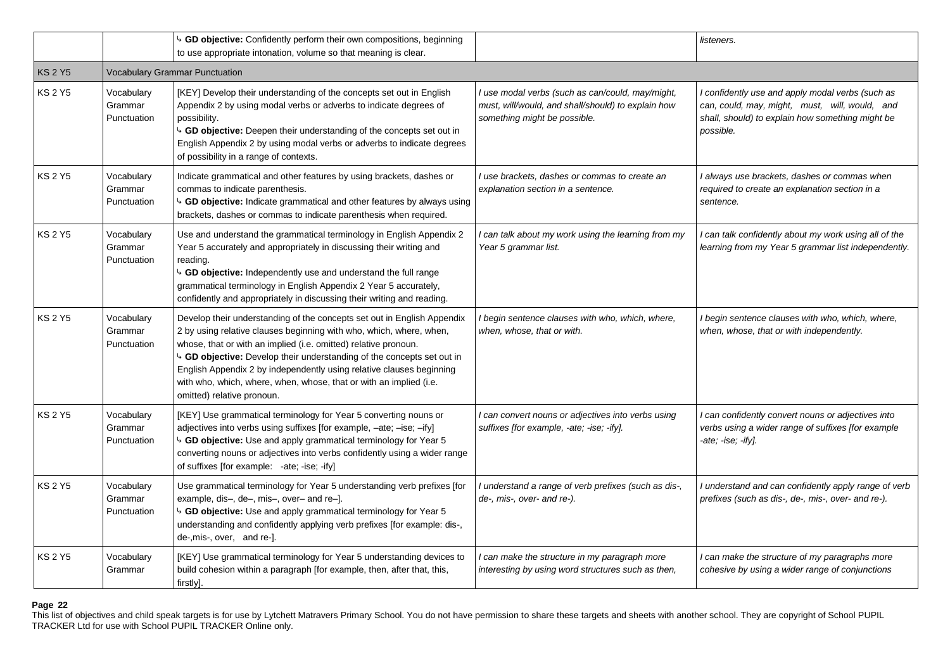|                |                                      | 4 GD objective: Confidently perform their own compositions, beginning<br>to use appropriate intonation, volume so that meaning is clear.                                                                                                                                                                                                                                                                                                                                |                                                                                                                                        | listeners.                                                                                                                                                          |
|----------------|--------------------------------------|-------------------------------------------------------------------------------------------------------------------------------------------------------------------------------------------------------------------------------------------------------------------------------------------------------------------------------------------------------------------------------------------------------------------------------------------------------------------------|----------------------------------------------------------------------------------------------------------------------------------------|---------------------------------------------------------------------------------------------------------------------------------------------------------------------|
| <b>KS 2 Y5</b> |                                      | Vocabulary Grammar Punctuation                                                                                                                                                                                                                                                                                                                                                                                                                                          |                                                                                                                                        |                                                                                                                                                                     |
| <b>KS 2 Y5</b> | Vocabulary<br>Grammar<br>Punctuation | [KEY] Develop their understanding of the concepts set out in English<br>Appendix 2 by using modal verbs or adverbs to indicate degrees of<br>possibility.<br>4 GD objective: Deepen their understanding of the concepts set out in<br>English Appendix 2 by using modal verbs or adverbs to indicate degrees<br>of possibility in a range of contexts.                                                                                                                  | I use modal verbs (such as can/could, may/might,<br>must, will/would, and shall/should) to explain how<br>something might be possible. | I confidently use and apply modal verbs (such as<br>can, could, may, might, must, will, would, and<br>shall, should) to explain how something might be<br>possible. |
| <b>KS 2 Y5</b> | Vocabulary<br>Grammar<br>Punctuation | Indicate grammatical and other features by using brackets, dashes or<br>commas to indicate parenthesis.<br>4 GD objective: Indicate grammatical and other features by always using<br>brackets, dashes or commas to indicate parenthesis when required.                                                                                                                                                                                                                 | I use brackets, dashes or commas to create an<br>explanation section in a sentence.                                                    | I always use brackets, dashes or commas when<br>required to create an explanation section in a<br>sentence.                                                         |
| <b>KS 2 Y5</b> | Vocabulary<br>Grammar<br>Punctuation | Use and understand the grammatical terminology in English Appendix 2<br>Year 5 accurately and appropriately in discussing their writing and<br>reading.<br>b GD objective: Independently use and understand the full range<br>grammatical terminology in English Appendix 2 Year 5 accurately,<br>confidently and appropriately in discussing their writing and reading.                                                                                                | can talk about my work using the learning from my<br>Year 5 grammar list.                                                              | I can talk confidently about my work using all of the<br>learning from my Year 5 grammar list independently.                                                        |
| <b>KS 2 Y5</b> | Vocabulary<br>Grammar<br>Punctuation | Develop their understanding of the concepts set out in English Appendix<br>2 by using relative clauses beginning with who, which, where, when,<br>whose, that or with an implied (i.e. omitted) relative pronoun.<br>4 GD objective: Develop their understanding of the concepts set out in<br>English Appendix 2 by independently using relative clauses beginning<br>with who, which, where, when, whose, that or with an implied (i.e.<br>omitted) relative pronoun. | begin sentence clauses with who, which, where,<br>when, whose, that or with.                                                           | begin sentence clauses with who, which, where,<br>when, whose, that or with independently.                                                                          |
| KS 2 Y5        | Vocabulary<br>Grammar<br>Punctuation | [KEY] Use grammatical terminology for Year 5 converting nouns or<br>adjectives into verbs using suffixes [for example, -ate; -ise; -ify]<br>4 GD objective: Use and apply grammatical terminology for Year 5<br>converting nouns or adjectives into verbs confidently using a wider range<br>of suffixes [for example: -ate; -ise; -ify]                                                                                                                                | I can convert nouns or adjectives into verbs using<br>suffixes [for example, -ate; -ise; -ify].                                        | I can confidently convert nouns or adjectives into<br>verbs using a wider range of suffixes [for example<br>-ate; ise; ify].                                        |
| KS 2 Y5        | Vocabulary<br>Grammar<br>Punctuation | Use grammatical terminology for Year 5 understanding verb prefixes [for<br>example, dis-, de-, mis-, over- and re-].<br>4 GD objective: Use and apply grammatical terminology for Year 5<br>understanding and confidently applying verb prefixes [for example: dis-,<br>de-, mis-, over, and re-].                                                                                                                                                                      | I understand a range of verb prefixes (such as dis-,<br>de-, mis-, over- and re-).                                                     | I understand and can confidently apply range of verb<br>prefixes (such as dis-, de-, mis-, over- and re-).                                                          |
| KS 2 Y5        | Vocabulary<br>Grammar                | [KEY] Use grammatical terminology for Year 5 understanding devices to<br>build cohesion within a paragraph [for example, then, after that, this,<br>firstly].                                                                                                                                                                                                                                                                                                           | I can make the structure in my paragraph more<br>interesting by using word structures such as then,                                    | I can make the structure of my paragraphs more<br>cohesive by using a wider range of conjunctions                                                                   |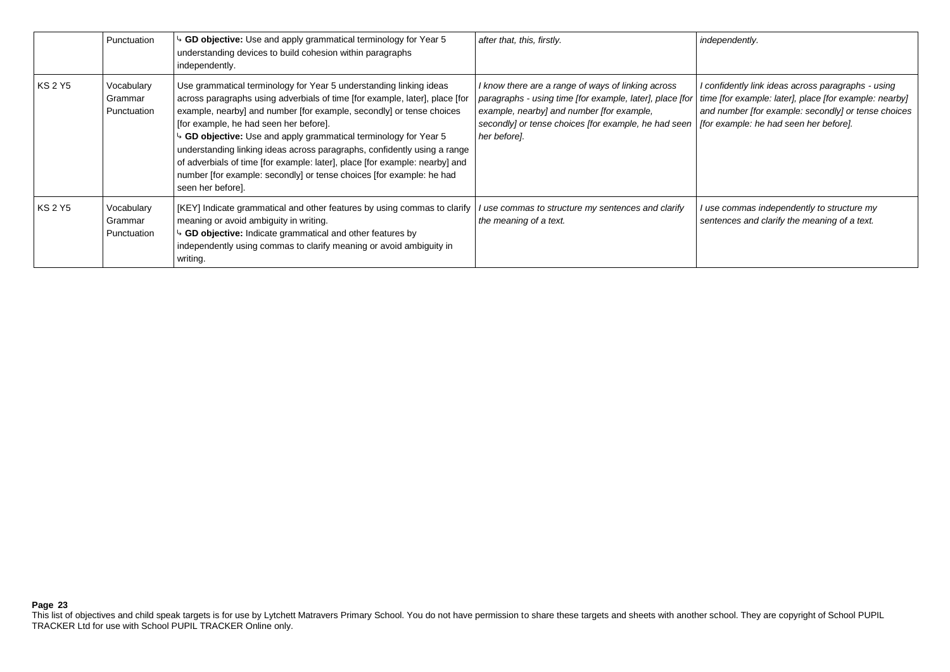|         | Punctuation                          | GD objective: Use and apply grammatical terminology for Year 5<br>understanding devices to build cohesion within paragraphs<br>independently.                                                                                                                                                                                                                                                                                                                                                                                                                                                               | after that, this, firstly.                                                                                                                                                                                                                                                   | independently.                                                                                                                                                      |
|---------|--------------------------------------|-------------------------------------------------------------------------------------------------------------------------------------------------------------------------------------------------------------------------------------------------------------------------------------------------------------------------------------------------------------------------------------------------------------------------------------------------------------------------------------------------------------------------------------------------------------------------------------------------------------|------------------------------------------------------------------------------------------------------------------------------------------------------------------------------------------------------------------------------------------------------------------------------|---------------------------------------------------------------------------------------------------------------------------------------------------------------------|
| KS 2 Y5 | Vocabulary<br>Grammar<br>Punctuation | Use grammatical terminology for Year 5 understanding linking ideas<br>across paragraphs using adverbials of time [for example, later], place [for<br>example, nearby] and number [for example, secondly] or tense choices<br>[for example, he had seen her before].<br>$\frac{1}{2}$ GD objective: Use and apply grammatical terminology for Year 5<br>understanding linking ideas across paragraphs, confidently using a range<br>of adverbials of time [for example: later], place [for example: nearby] and<br>number [for example: secondly] or tense choices [for example: he had<br>seen her before]. | I know there are a range of ways of linking across<br>paragraphs - using time [for example, later], place [for<br>example, nearby] and number [for example,<br>secondly] or tense choices [for example, he had seen   [for example: he had seen her before].<br>her before]. | I confidently link ideas across paragraphs - using<br>time [for example: later], place [for example: nearby]<br>and number [for example: secondly] or tense choices |
| KS 2 Y5 | Vocabulary<br>Grammar<br>Punctuation | [KEY] Indicate grammatical and other features by using commas to clarify<br>meaning or avoid ambiguity in writing.<br>$\sim$ GD objective: Indicate grammatical and other features by<br>independently using commas to clarify meaning or avoid ambiguity in<br>writing.                                                                                                                                                                                                                                                                                                                                    | I use commas to structure my sentences and clarify<br>the meaning of a text.                                                                                                                                                                                                 | use commas independently to structure my<br>sentences and clarify the meaning of a text.                                                                            |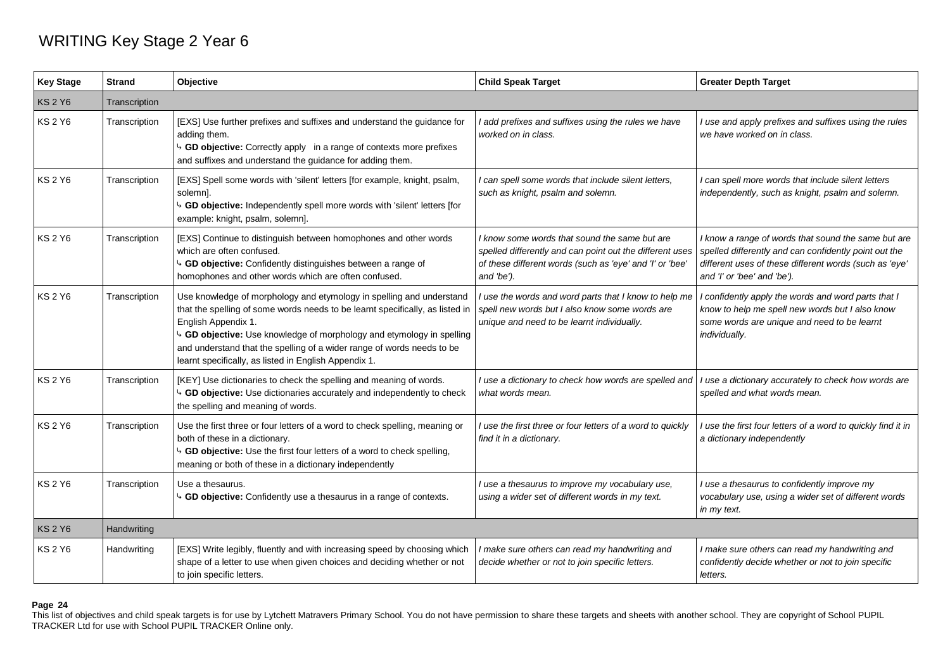## WRITING Key Stage 2 Year 6

| <b>Key Stage</b> | <b>Strand</b> | <b>Objective</b>                                                                                                                                                                                                                                                                                                                                                                                    | <b>Child Speak Target</b>                                                                                                                                                           | <b>Greater Depth Target</b>                                                                                                                                                                           |
|------------------|---------------|-----------------------------------------------------------------------------------------------------------------------------------------------------------------------------------------------------------------------------------------------------------------------------------------------------------------------------------------------------------------------------------------------------|-------------------------------------------------------------------------------------------------------------------------------------------------------------------------------------|-------------------------------------------------------------------------------------------------------------------------------------------------------------------------------------------------------|
| <b>KS2Y6</b>     | Transcription |                                                                                                                                                                                                                                                                                                                                                                                                     |                                                                                                                                                                                     |                                                                                                                                                                                                       |
| <b>KS 2 Y6</b>   | Transcription | [EXS] Use further prefixes and suffixes and understand the guidance for<br>adding them.<br>GD objective: Correctly apply in a range of contexts more prefixes<br>and suffixes and understand the guidance for adding them.                                                                                                                                                                          | I add prefixes and suffixes using the rules we have<br>worked on in class.                                                                                                          | use and apply prefixes and suffixes using the rules<br>we have worked on in class.                                                                                                                    |
| <b>KS 2 Y6</b>   | Transcription | [EXS] Spell some words with 'silent' letters [for example, knight, psalm,<br>solemn].<br>4 GD objective: Independently spell more words with 'silent' letters [for<br>example: knight, psalm, solemn].                                                                                                                                                                                              | I can spell some words that include silent letters,<br>such as knight, psalm and solemn.                                                                                            | can spell more words that include silent letters<br>independently, such as knight, psalm and solemn.                                                                                                  |
| KS 2 Y6          | Transcription | [EXS] Continue to distinguish between homophones and other words<br>which are often confused.<br><sup>1</sup> GD objective: Confidently distinguishes between a range of<br>homophones and other words which are often confused.                                                                                                                                                                    | I know some words that sound the same but are<br>spelled differently and can point out the different uses<br>of these different words (such as 'eye' and 'I' or 'bee'<br>and 'be'). | I know a range of words that sound the same but are<br>spelled differently and can confidently point out the<br>different uses of these different words (such as 'eye'<br>and 'I' or 'bee' and 'be'). |
| KS 2 Y6          | Transcription | Use knowledge of morphology and etymology in spelling and understand<br>that the spelling of some words needs to be learnt specifically, as listed in<br>English Appendix 1.<br><sup>4</sup> GD objective: Use knowledge of morphology and etymology in spelling<br>and understand that the spelling of a wider range of words needs to be<br>learnt specifically, as listed in English Appendix 1. | I use the words and word parts that I know to help me<br>spell new words but I also know some words are<br>unique and need to be learnt individually.                               | I confidently apply the words and word parts that I<br>know to help me spell new words but I also know<br>some words are unique and need to be learnt<br>individually.                                |
| KS 2 Y6          | Transcription | [KEY] Use dictionaries to check the spelling and meaning of words.<br><sup>1</sup> GD objective: Use dictionaries accurately and independently to check<br>the spelling and meaning of words.                                                                                                                                                                                                       | I use a dictionary to check how words are spelled and<br>what words mean.                                                                                                           | I use a dictionary accurately to check how words are<br>spelled and what words mean.                                                                                                                  |
| <b>KS 2 Y6</b>   | Transcription | Use the first three or four letters of a word to check spelling, meaning or<br>both of these in a dictionary.<br>GD objective: Use the first four letters of a word to check spelling,<br>meaning or both of these in a dictionary independently                                                                                                                                                    | I use the first three or four letters of a word to quickly<br>find it in a dictionary.                                                                                              | I use the first four letters of a word to quickly find it in<br>a dictionary independently                                                                                                            |
| KS 2 Y6          | Transcription | Use a thesaurus.<br>GD objective: Confidently use a thesaurus in a range of contexts.                                                                                                                                                                                                                                                                                                               | I use a thesaurus to improve my vocabulary use,<br>using a wider set of different words in my text.                                                                                 | I use a thesaurus to confidently improve my<br>vocabulary use, using a wider set of different words<br>in my text.                                                                                    |
| <b>KS 2 Y6</b>   | Handwriting   |                                                                                                                                                                                                                                                                                                                                                                                                     |                                                                                                                                                                                     |                                                                                                                                                                                                       |
| <b>KS 2 Y6</b>   | Handwriting   | [EXS] Write legibly, fluently and with increasing speed by choosing which<br>shape of a letter to use when given choices and deciding whether or not<br>to join specific letters.                                                                                                                                                                                                                   | I make sure others can read my handwriting and<br>decide whether or not to join specific letters.                                                                                   | I make sure others can read my handwriting and<br>confidently decide whether or not to join specific<br>letters.                                                                                      |

## **Page 24**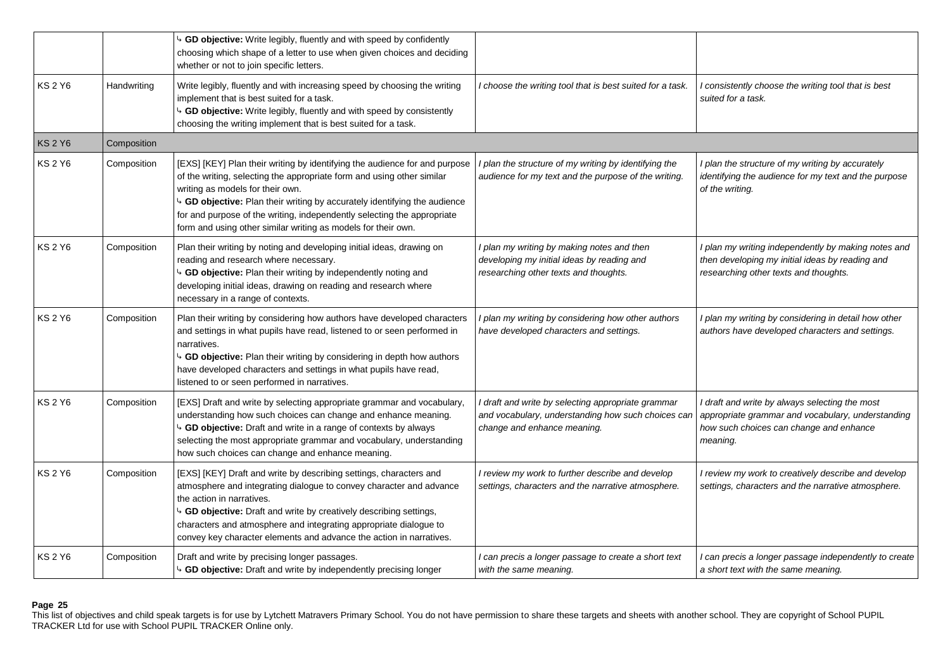|                |             | 4 GD objective: Write legibly, fluently and with speed by confidently<br>choosing which shape of a letter to use when given choices and deciding<br>whether or not to join specific letters.                                                                                                                                                                                                                                 |                                                                                                                                         |                                                                                                                                                            |
|----------------|-------------|------------------------------------------------------------------------------------------------------------------------------------------------------------------------------------------------------------------------------------------------------------------------------------------------------------------------------------------------------------------------------------------------------------------------------|-----------------------------------------------------------------------------------------------------------------------------------------|------------------------------------------------------------------------------------------------------------------------------------------------------------|
| KS 2 Y6        | Handwriting | Write legibly, fluently and with increasing speed by choosing the writing<br>implement that is best suited for a task.<br>↓ GD objective: Write legibly, fluently and with speed by consistently<br>choosing the writing implement that is best suited for a task.                                                                                                                                                           | I choose the writing tool that is best suited for a task.                                                                               | I consistently choose the writing tool that is best<br>suited for a task.                                                                                  |
| <b>KS 2 Y6</b> | Composition |                                                                                                                                                                                                                                                                                                                                                                                                                              |                                                                                                                                         |                                                                                                                                                            |
| <b>KS 2 Y6</b> | Composition | [EXS] [KEY] Plan their writing by identifying the audience for and purpose<br>of the writing, selecting the appropriate form and using other similar<br>writing as models for their own.<br><sup>1</sup> GD objective: Plan their writing by accurately identifying the audience<br>for and purpose of the writing, independently selecting the appropriate<br>form and using other similar writing as models for their own. | I plan the structure of my writing by identifying the<br>audience for my text and the purpose of the writing.                           | I plan the structure of my writing by accurately<br>identifying the audience for my text and the purpose<br>of the writing.                                |
| <b>KS 2 Y6</b> | Composition | Plan their writing by noting and developing initial ideas, drawing on<br>reading and research where necessary.<br>4 GD objective: Plan their writing by independently noting and<br>developing initial ideas, drawing on reading and research where<br>necessary in a range of contexts.                                                                                                                                     | I plan my writing by making notes and then<br>developing my initial ideas by reading and<br>researching other texts and thoughts.       | I plan my writing independently by making notes and<br>then developing my initial ideas by reading and<br>researching other texts and thoughts.            |
| <b>KS 2 Y6</b> | Composition | Plan their writing by considering how authors have developed characters<br>and settings in what pupils have read, listened to or seen performed in<br>narratives.<br>b GD objective: Plan their writing by considering in depth how authors<br>have developed characters and settings in what pupils have read,<br>listened to or seen performed in narratives.                                                              | I plan my writing by considering how other authors<br>have developed characters and settings.                                           | I plan my writing by considering in detail how other<br>authors have developed characters and settings.                                                    |
| <b>KS 2 Y6</b> | Composition | [EXS] Draft and write by selecting appropriate grammar and vocabulary,<br>understanding how such choices can change and enhance meaning.<br>4 GD objective: Draft and write in a range of contexts by always<br>selecting the most appropriate grammar and vocabulary, understanding<br>how such choices can change and enhance meaning.                                                                                     | I draft and write by selecting appropriate grammar<br>and vocabulary, understanding how such choices can<br>change and enhance meaning. | I draft and write by always selecting the most<br>appropriate grammar and vocabulary, understanding<br>how such choices can change and enhance<br>meaning. |
| <b>KS 2 Y6</b> | Composition | [EXS] [KEY] Draft and write by describing settings, characters and<br>atmosphere and integrating dialogue to convey character and advance<br>the action in narratives.<br>4 GD objective: Draft and write by creatively describing settings,<br>characters and atmosphere and integrating appropriate dialogue to<br>convey key character elements and advance the action in narratives.                                     | I review my work to further describe and develop<br>settings, characters and the narrative atmosphere.                                  | I review my work to creatively describe and develop<br>settings, characters and the narrative atmosphere.                                                  |
| <b>KS 2 Y6</b> | Composition | Draft and write by precising longer passages.<br>4 GD objective: Draft and write by independently precising longer                                                                                                                                                                                                                                                                                                           | I can precis a longer passage to create a short text<br>with the same meaning.                                                          | I can precis a longer passage independently to create<br>a short text with the same meaning.                                                               |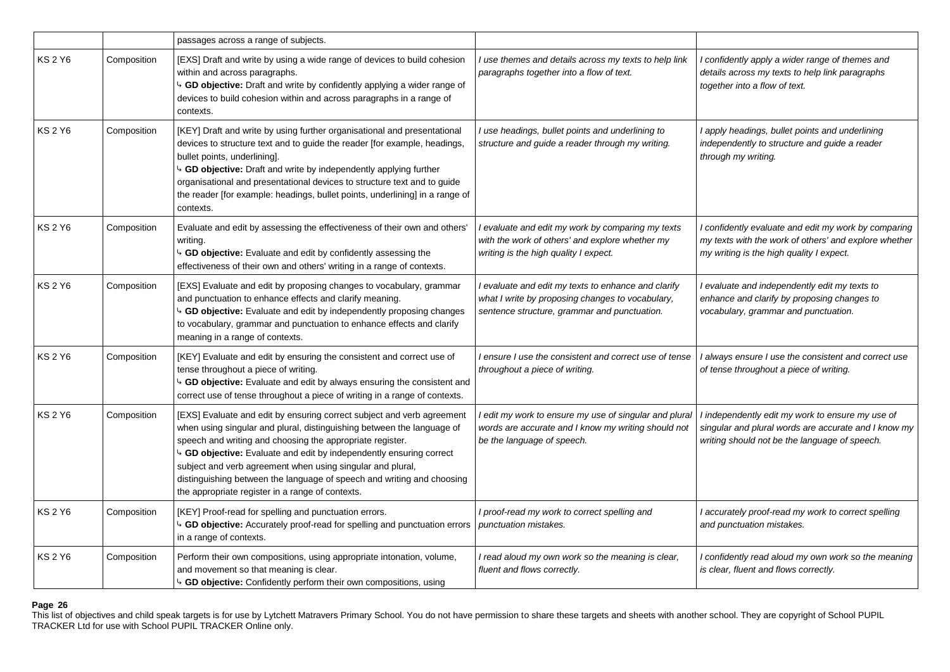|                |             | passages across a range of subjects.                                                                                                                                                                                                                                                                                                                                                                                                                                             |                                                                                                                                                         |                                                                                                                                                           |
|----------------|-------------|----------------------------------------------------------------------------------------------------------------------------------------------------------------------------------------------------------------------------------------------------------------------------------------------------------------------------------------------------------------------------------------------------------------------------------------------------------------------------------|---------------------------------------------------------------------------------------------------------------------------------------------------------|-----------------------------------------------------------------------------------------------------------------------------------------------------------|
| <b>KS 2 Y6</b> | Composition | [EXS] Draft and write by using a wide range of devices to build cohesion<br>within and across paragraphs.<br>4 GD objective: Draft and write by confidently applying a wider range of<br>devices to build cohesion within and across paragraphs in a range of<br>contexts.                                                                                                                                                                                                       | I use themes and details across my texts to help link<br>paragraphs together into a flow of text.                                                       | I confidently apply a wider range of themes and<br>details across my texts to help link paragraphs<br>together into a flow of text.                       |
| <b>KS 2 Y6</b> | Composition | [KEY] Draft and write by using further organisational and presentational<br>devices to structure text and to guide the reader [for example, headings,<br>bullet points, underlining].<br>GD objective: Draft and write by independently applying further<br>organisational and presentational devices to structure text and to guide<br>the reader [for example: headings, bullet points, underlining] in a range of<br>contexts.                                                | I use headings, bullet points and underlining to<br>structure and guide a reader through my writing.                                                    | I apply headings, bullet points and underlining<br>independently to structure and guide a reader<br>through my writing.                                   |
| <b>KS 2 Y6</b> | Composition | Evaluate and edit by assessing the effectiveness of their own and others'<br>writing.<br>4 GD objective: Evaluate and edit by confidently assessing the<br>effectiveness of their own and others' writing in a range of contexts.                                                                                                                                                                                                                                                | I evaluate and edit my work by comparing my texts<br>with the work of others' and explore whether my<br>writing is the high quality I expect.           | I confidently evaluate and edit my work by comparing<br>my texts with the work of others' and explore whether<br>my writing is the high quality I expect. |
| <b>KS 2 Y6</b> | Composition | [EXS] Evaluate and edit by proposing changes to vocabulary, grammar<br>and punctuation to enhance effects and clarify meaning.<br><b>GD objective:</b> Evaluate and edit by independently proposing changes<br>to vocabulary, grammar and punctuation to enhance effects and clarify<br>meaning in a range of contexts.                                                                                                                                                          | I evaluate and edit my texts to enhance and clarify<br>what I write by proposing changes to vocabulary,<br>sentence structure, grammar and punctuation. | I evaluate and independently edit my texts to<br>enhance and clarify by proposing changes to<br>vocabulary, grammar and punctuation.                      |
| <b>KS 2 Y6</b> | Composition | [KEY] Evaluate and edit by ensuring the consistent and correct use of<br>tense throughout a piece of writing.<br>b GD objective: Evaluate and edit by always ensuring the consistent and<br>correct use of tense throughout a piece of writing in a range of contexts.                                                                                                                                                                                                           | I ensure I use the consistent and correct use of tense<br>throughout a piece of writing.                                                                | I always ensure I use the consistent and correct use<br>of tense throughout a piece of writing.                                                           |
| <b>KS 2 Y6</b> | Composition | [EXS] Evaluate and edit by ensuring correct subject and verb agreement<br>when using singular and plural, distinguishing between the language of<br>speech and writing and choosing the appropriate register.<br>4 GD objective: Evaluate and edit by independently ensuring correct<br>subject and verb agreement when using singular and plural,<br>distinguishing between the language of speech and writing and choosing<br>the appropriate register in a range of contexts. | l edit my work to ensure my use of singular and plural<br>words are accurate and I know my writing should not<br>be the language of speech.             | I independently edit my work to ensure my use of<br>singular and plural words are accurate and I know my<br>writing should not be the language of speech. |
| <b>KS 2 Y6</b> | Composition | [KEY] Proof-read for spelling and punctuation errors.<br>b GD objective: Accurately proof-read for spelling and punctuation errors<br>in a range of contexts.                                                                                                                                                                                                                                                                                                                    | I proof-read my work to correct spelling and<br>punctuation mistakes.                                                                                   | I accurately proof-read my work to correct spelling<br>and punctuation mistakes.                                                                          |
| <b>KS 2 Y6</b> | Composition | Perform their own compositions, using appropriate intonation, volume,<br>and movement so that meaning is clear.<br>4 GD objective: Confidently perform their own compositions, using                                                                                                                                                                                                                                                                                             | I read aloud my own work so the meaning is clear,<br>fluent and flows correctly.                                                                        | I confidently read aloud my own work so the meaning<br>is clear, fluent and flows correctly.                                                              |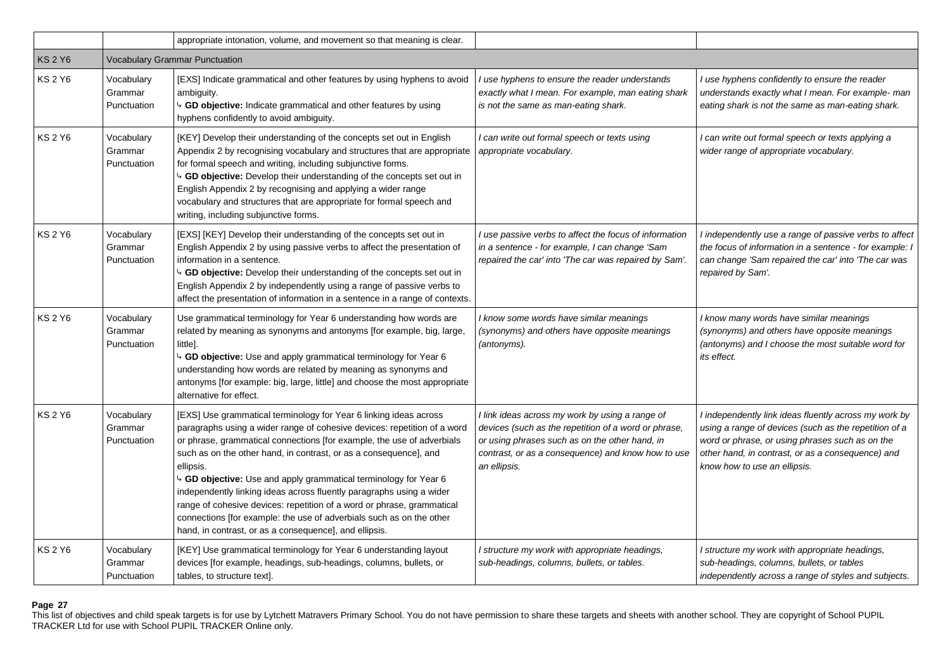|                |                                       | appropriate intonation, volume, and movement so that meaning is clear.                                                                                                                                                                                                                                                                                                                                                                                                                                                                                                                                                                                            |                                                                                                                                                                                                                                 |                                                                                                                                                                                                                                                        |  |
|----------------|---------------------------------------|-------------------------------------------------------------------------------------------------------------------------------------------------------------------------------------------------------------------------------------------------------------------------------------------------------------------------------------------------------------------------------------------------------------------------------------------------------------------------------------------------------------------------------------------------------------------------------------------------------------------------------------------------------------------|---------------------------------------------------------------------------------------------------------------------------------------------------------------------------------------------------------------------------------|--------------------------------------------------------------------------------------------------------------------------------------------------------------------------------------------------------------------------------------------------------|--|
| <b>KS 2 Y6</b> | <b>Vocabulary Grammar Punctuation</b> |                                                                                                                                                                                                                                                                                                                                                                                                                                                                                                                                                                                                                                                                   |                                                                                                                                                                                                                                 |                                                                                                                                                                                                                                                        |  |
| <b>KS 2 Y6</b> | Vocabulary<br>Grammar<br>Punctuation  | [EXS] Indicate grammatical and other features by using hyphens to avoid<br>ambiguity.<br>GD objective: Indicate grammatical and other features by using<br>hyphens confidently to avoid ambiguity.                                                                                                                                                                                                                                                                                                                                                                                                                                                                | I use hyphens to ensure the reader understands<br>exactly what I mean. For example, man eating shark<br>is not the same as man-eating shark.                                                                                    | I use hyphens confidently to ensure the reader<br>understands exactly what I mean. For example- man<br>eating shark is not the same as man-eating shark.                                                                                               |  |
| <b>KS 2 Y6</b> | Vocabulary<br>Grammar<br>Punctuation  | [KEY] Develop their understanding of the concepts set out in English<br>Appendix 2 by recognising vocabulary and structures that are appropriate<br>for formal speech and writing, including subjunctive forms.<br>GD objective: Develop their understanding of the concepts set out in<br>English Appendix 2 by recognising and applying a wider range<br>vocabulary and structures that are appropriate for formal speech and<br>writing, including subjunctive forms.                                                                                                                                                                                          | I can write out formal speech or texts using<br>appropriate vocabulary.                                                                                                                                                         | I can write out formal speech or texts applying a<br>wider range of appropriate vocabulary.                                                                                                                                                            |  |
| <b>KS2Y6</b>   | Vocabulary<br>Grammar<br>Punctuation  | [EXS] [KEY] Develop their understanding of the concepts set out in<br>English Appendix 2 by using passive verbs to affect the presentation of<br>information in a sentence.<br>4 GD objective: Develop their understanding of the concepts set out in<br>English Appendix 2 by independently using a range of passive verbs to<br>affect the presentation of information in a sentence in a range of contexts.                                                                                                                                                                                                                                                    | I use passive verbs to affect the focus of information<br>in a sentence - for example, I can change 'Sam<br>repaired the car' into 'The car was repaired by Sam'.                                                               | I independently use a range of passive verbs to affect<br>the focus of information in a sentence - for example: I<br>can change 'Sam repaired the car' into 'The car was<br>repaired by Sam'.                                                          |  |
| <b>KS 2 Y6</b> | Vocabulary<br>Grammar<br>Punctuation  | Use grammatical terminology for Year 6 understanding how words are<br>related by meaning as synonyms and antonyms [for example, big, large,<br>little].<br>4 GD objective: Use and apply grammatical terminology for Year 6<br>understanding how words are related by meaning as synonyms and<br>antonyms [for example: big, large, little] and choose the most appropriate<br>alternative for effect.                                                                                                                                                                                                                                                            | I know some words have similar meanings<br>(synonyms) and others have opposite meanings<br>(antonyms).                                                                                                                          | I know many words have similar meanings<br>(synonyms) and others have opposite meanings<br>(antonyms) and I choose the most suitable word for<br>its effect.                                                                                           |  |
| <b>KS 2 Y6</b> | Vocabulary<br>Grammar<br>Punctuation  | [EXS] Use grammatical terminology for Year 6 linking ideas across<br>paragraphs using a wider range of cohesive devices: repetition of a word<br>or phrase, grammatical connections [for example, the use of adverbials<br>such as on the other hand, in contrast, or as a consequence], and<br>ellipsis.<br>4 GD objective: Use and apply grammatical terminology for Year 6<br>independently linking ideas across fluently paragraphs using a wider<br>range of cohesive devices: repetition of a word or phrase, grammatical<br>connections [for example: the use of adverbials such as on the other<br>hand, in contrast, or as a consequence], and ellipsis. | I link ideas across my work by using a range of<br>devices (such as the repetition of a word or phrase,<br>or using phrases such as on the other hand, in<br>contrast, or as a consequence) and know how to use<br>an ellipsis. | I independently link ideas fluently across my work by<br>using a range of devices (such as the repetition of a<br>word or phrase, or using phrases such as on the<br>other hand, in contrast, or as a consequence) and<br>know how to use an ellipsis. |  |
| <b>KS 2 Y6</b> | Vocabulary<br>Grammar<br>Punctuation  | [KEY] Use grammatical terminology for Year 6 understanding layout<br>devices [for example, headings, sub-headings, columns, bullets, or<br>tables, to structure text].                                                                                                                                                                                                                                                                                                                                                                                                                                                                                            | I structure my work with appropriate headings,<br>sub-headings, columns, bullets, or tables.                                                                                                                                    | I structure my work with appropriate headings,<br>sub-headings, columns, bullets, or tables<br>independently across a range of styles and subjects.                                                                                                    |  |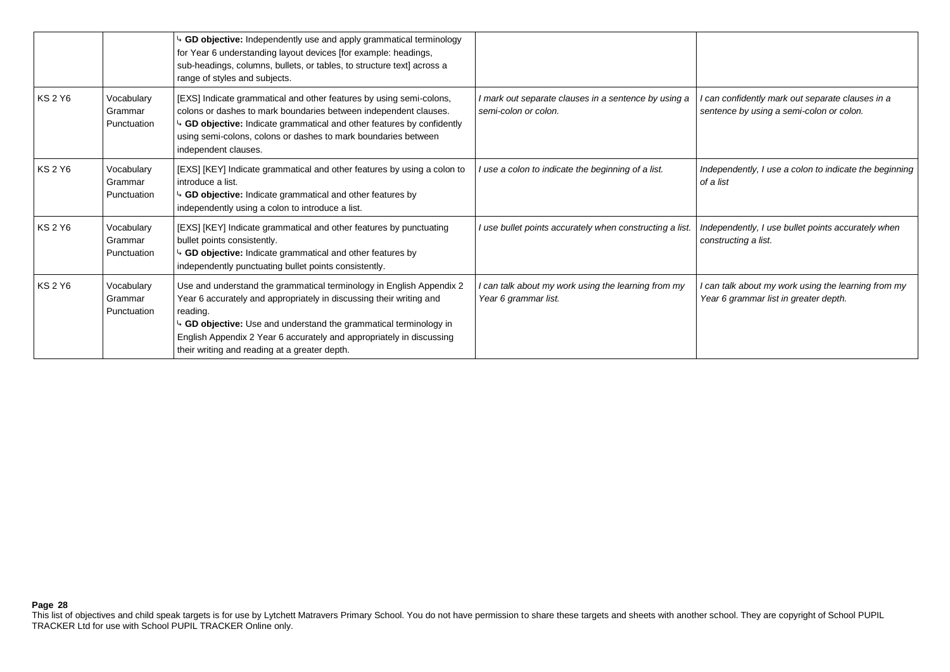|                |                                      | GD objective: Independently use and apply grammatical terminology<br>for Year 6 understanding layout devices [for example: headings,<br>sub-headings, columns, bullets, or tables, to structure text] across a<br>range of styles and subjects.                                                                                                       |                                                                              |                                                                                              |
|----------------|--------------------------------------|-------------------------------------------------------------------------------------------------------------------------------------------------------------------------------------------------------------------------------------------------------------------------------------------------------------------------------------------------------|------------------------------------------------------------------------------|----------------------------------------------------------------------------------------------|
| <b>KS 2 Y6</b> | Vocabulary<br>Grammar<br>Punctuation | [EXS] Indicate grammatical and other features by using semi-colons,<br>colons or dashes to mark boundaries between independent clauses.<br>GD objective: Indicate grammatical and other features by confidently<br>using semi-colons, colons or dashes to mark boundaries between<br>independent clauses.                                             | I mark out separate clauses in a sentence by using a<br>semi-colon or colon. | can confidently mark out separate clauses in a<br>sentence by using a semi-colon or colon.   |
| <b>KS 2 Y6</b> | Vocabulary<br>Grammar<br>Punctuation | [EXS] [KEY] Indicate grammatical and other features by using a colon to<br>introduce a list.<br>GD objective: Indicate grammatical and other features by<br>independently using a colon to introduce a list.                                                                                                                                          | I use a colon to indicate the beginning of a list.                           | Independently, I use a colon to indicate the beginning<br>of a list                          |
| <b>KS 2 Y6</b> | Vocabulary<br>Grammar<br>Punctuation | [EXS] [KEY] Indicate grammatical and other features by punctuating<br>bullet points consistently.<br>GD objective: Indicate grammatical and other features by<br>independently punctuating bullet points consistently.                                                                                                                                | I use bullet points accurately when constructing a list.                     | Independently, I use bullet points accurately when<br>constructing a list.                   |
| <b>KS 2 Y6</b> | Vocabulary<br>Grammar<br>Punctuation | Use and understand the grammatical terminology in English Appendix 2<br>Year 6 accurately and appropriately in discussing their writing and<br>reading.<br>4 GD objective: Use and understand the grammatical terminology in<br>English Appendix 2 Year 6 accurately and appropriately in discussing<br>their writing and reading at a greater depth. | can talk about my work using the learning from my<br>Year 6 grammar list.    | I can talk about my work using the learning from my<br>Year 6 grammar list in greater depth. |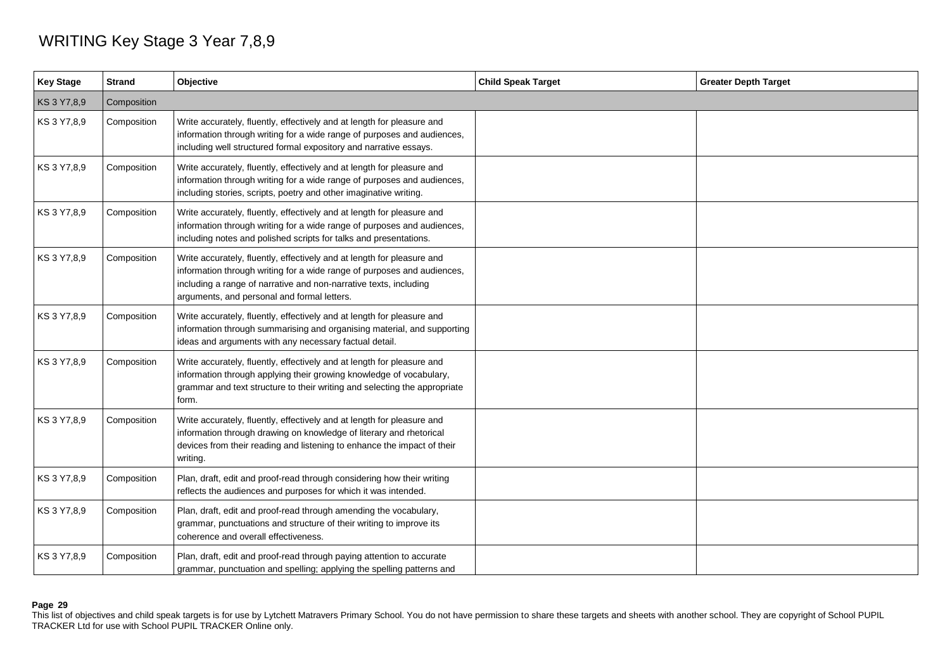## WRITING Key Stage 3 Year 7,8,9

| <b>Key Stage</b> | <b>Strand</b> | Objective                                                                                                                                                                                                                                                             | <b>Child Speak Target</b> | <b>Greater Depth Target</b> |  |
|------------------|---------------|-----------------------------------------------------------------------------------------------------------------------------------------------------------------------------------------------------------------------------------------------------------------------|---------------------------|-----------------------------|--|
| KS 3 Y7,8,9      | Composition   |                                                                                                                                                                                                                                                                       |                           |                             |  |
| KS 3 Y7,8,9      | Composition   | Write accurately, fluently, effectively and at length for pleasure and<br>information through writing for a wide range of purposes and audiences,<br>including well structured formal expository and narrative essays.                                                |                           |                             |  |
| KS 3 Y7,8,9      | Composition   | Write accurately, fluently, effectively and at length for pleasure and<br>information through writing for a wide range of purposes and audiences,<br>including stories, scripts, poetry and other imaginative writing.                                                |                           |                             |  |
| KS 3 Y7,8,9      | Composition   | Write accurately, fluently, effectively and at length for pleasure and<br>information through writing for a wide range of purposes and audiences,<br>including notes and polished scripts for talks and presentations.                                                |                           |                             |  |
| KS 3 Y7,8,9      | Composition   | Write accurately, fluently, effectively and at length for pleasure and<br>information through writing for a wide range of purposes and audiences,<br>including a range of narrative and non-narrative texts, including<br>arguments, and personal and formal letters. |                           |                             |  |
| KS 3 Y7,8,9      | Composition   | Write accurately, fluently, effectively and at length for pleasure and<br>information through summarising and organising material, and supporting<br>ideas and arguments with any necessary factual detail.                                                           |                           |                             |  |
| KS 3 Y7,8,9      | Composition   | Write accurately, fluently, effectively and at length for pleasure and<br>information through applying their growing knowledge of vocabulary,<br>grammar and text structure to their writing and selecting the appropriate<br>form.                                   |                           |                             |  |
| KS 3 Y7,8,9      | Composition   | Write accurately, fluently, effectively and at length for pleasure and<br>information through drawing on knowledge of literary and rhetorical<br>devices from their reading and listening to enhance the impact of their<br>writing.                                  |                           |                             |  |
| KS 3 Y7,8,9      | Composition   | Plan, draft, edit and proof-read through considering how their writing<br>reflects the audiences and purposes for which it was intended.                                                                                                                              |                           |                             |  |
| KS 3 Y7,8,9      | Composition   | Plan, draft, edit and proof-read through amending the vocabulary,<br>grammar, punctuations and structure of their writing to improve its<br>coherence and overall effectiveness.                                                                                      |                           |                             |  |
| KS 3 Y7,8,9      | Composition   | Plan, draft, edit and proof-read through paying attention to accurate<br>grammar, punctuation and spelling; applying the spelling patterns and                                                                                                                        |                           |                             |  |

## **Page 29**